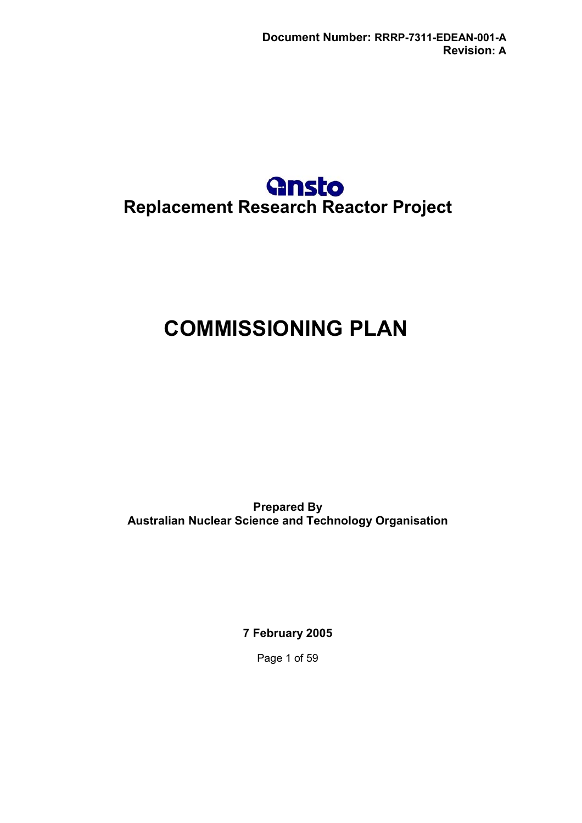## **Replacement Research Reactor Project**

### **COMMISSIONING PLAN**

**Prepared By Australian Nuclear Science and Technology Organisation**

**7 February 2005**

Page 1 of 59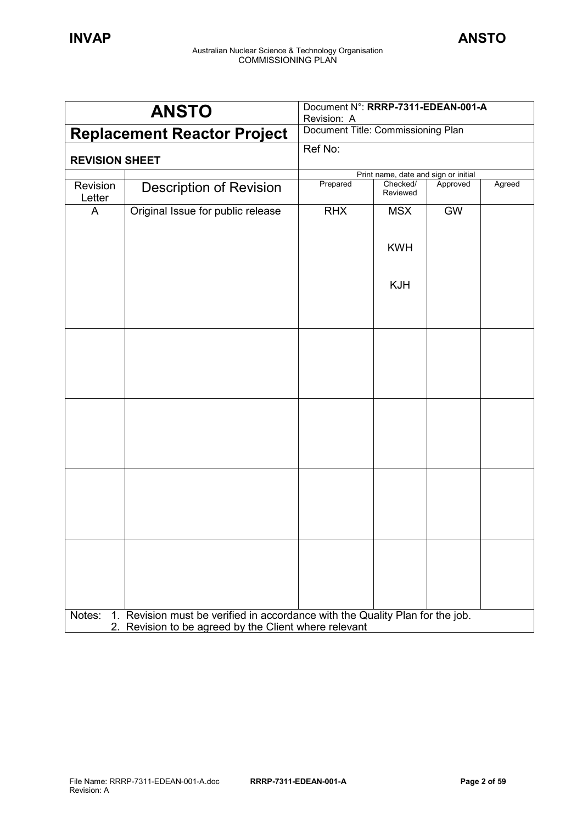|                       | <b>ANSTO</b>                                                                                                                           | Document N°: RRRP-7311-EDEAN-001-A<br>Revision: A |                                      |           |        |
|-----------------------|----------------------------------------------------------------------------------------------------------------------------------------|---------------------------------------------------|--------------------------------------|-----------|--------|
|                       | <b>Replacement Reactor Project</b>                                                                                                     | Document Title: Commissioning Plan                |                                      |           |        |
| <b>REVISION SHEET</b> |                                                                                                                                        | Ref No:                                           |                                      |           |        |
|                       |                                                                                                                                        |                                                   | Print name, date and sign or initial |           |        |
| Revision<br>Letter    | <b>Description of Revision</b>                                                                                                         | Prepared                                          | Checked/<br>Reviewed                 | Approved  | Agreed |
| A                     | Original Issue for public release                                                                                                      | <b>RHX</b>                                        | <b>MSX</b>                           | <b>GW</b> |        |
|                       |                                                                                                                                        |                                                   | <b>KWH</b>                           |           |        |
|                       |                                                                                                                                        |                                                   | <b>KJH</b>                           |           |        |
|                       |                                                                                                                                        |                                                   |                                      |           |        |
|                       |                                                                                                                                        |                                                   |                                      |           |        |
|                       |                                                                                                                                        |                                                   |                                      |           |        |
|                       |                                                                                                                                        |                                                   |                                      |           |        |
|                       |                                                                                                                                        |                                                   |                                      |           |        |
|                       |                                                                                                                                        |                                                   |                                      |           |        |
|                       |                                                                                                                                        |                                                   |                                      |           |        |
|                       |                                                                                                                                        |                                                   |                                      |           |        |
|                       |                                                                                                                                        |                                                   |                                      |           |        |
| Notes:                | 1. Revision must be verified in accordance with the Quality Plan for the job.<br>2. Revision to be agreed by the Client where relevant |                                                   |                                      |           |        |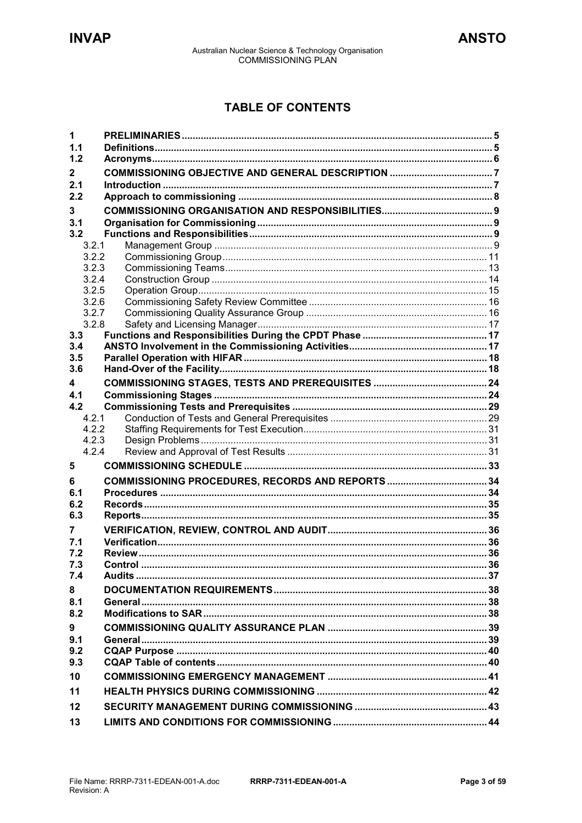### **TABLE OF CONTENTS**

| 1              |         |  |
|----------------|---------|--|
| 1.1            |         |  |
| 1.2            |         |  |
| $\mathbf{2}$   |         |  |
| 2.1            |         |  |
| 2.2            |         |  |
| 3              |         |  |
| 3.1            |         |  |
| 3.2            |         |  |
| 3.2.1          |         |  |
| 3.2.2          |         |  |
| 3.2.3          |         |  |
| 3.2.4<br>3.2.5 |         |  |
| 3.2.6          |         |  |
| 3.2.7          |         |  |
| 3.2.8          |         |  |
| 3.3            |         |  |
| 3.4            |         |  |
| 3.5            |         |  |
| 3.6            |         |  |
| 4              |         |  |
| 4.1            |         |  |
| 4.2            |         |  |
| 4.2.1          |         |  |
| 4.2.2          |         |  |
|                |         |  |
| 4.2.3          |         |  |
| 4.2.4          |         |  |
| 5              |         |  |
| 6              |         |  |
| 6.1            |         |  |
| 6.2            |         |  |
| 6.3            |         |  |
| 7              |         |  |
| 7.1            |         |  |
| 7.2            |         |  |
| 7.3            | Control |  |
| 7.4            |         |  |
| 8              |         |  |
| 8.1            |         |  |
| 8.2            |         |  |
| 9              |         |  |
| 9.1            |         |  |
| 9.2            |         |  |
| 9.3            |         |  |
| 10             |         |  |
| 11             |         |  |
| 12<br>13       |         |  |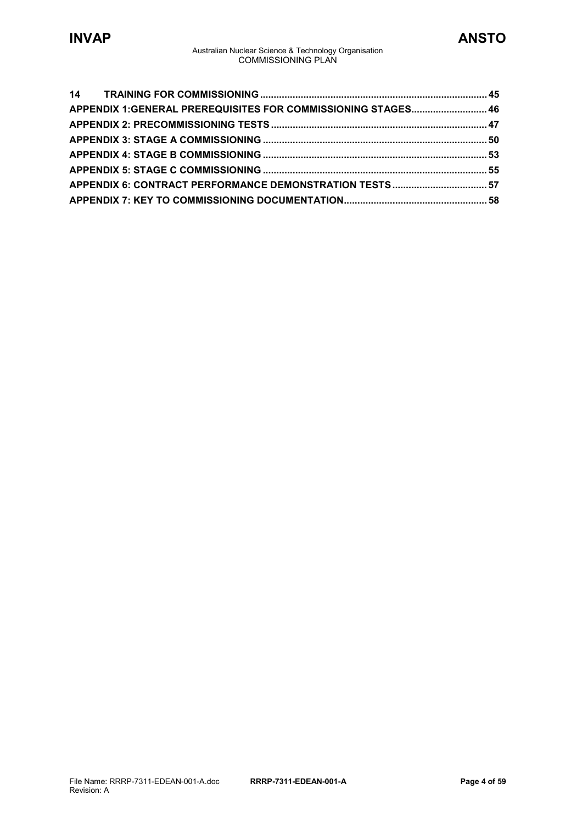| APPENDIX 1:GENERAL PREREQUISITES FOR COMMISSIONING STAGES 46 |  |
|--------------------------------------------------------------|--|
|                                                              |  |
|                                                              |  |
|                                                              |  |
|                                                              |  |
|                                                              |  |
|                                                              |  |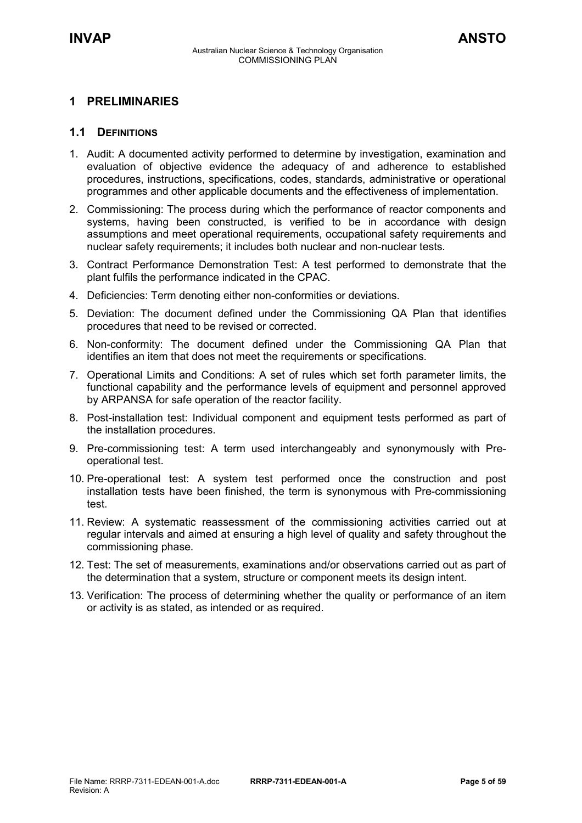### <span id="page-4-0"></span>**1 PRELIMINARIES**

### <span id="page-4-1"></span>**1.1 DEFINITIONS**

- 1. Audit: A documented activity performed to determine by investigation, examination and evaluation of objective evidence the adequacy of and adherence to established procedures, instructions, specifications, codes, standards, administrative or operational programmes and other applicable documents and the effectiveness of implementation.
- 2. Commissioning: The process during which the performance of reactor components and systems, having been constructed, is verified to be in accordance with design assumptions and meet operational requirements, occupational safety requirements and nuclear safety requirements; it includes both nuclear and non-nuclear tests.
- 3. Contract Performance Demonstration Test: A test performed to demonstrate that the plant fulfils the performance indicated in the CPAC.
- 4. Deficiencies: Term denoting either non-conformities or deviations.
- 5. Deviation: The document defined under the Commissioning QA Plan that identifies procedures that need to be revised or corrected.
- 6. Non-conformity: The document defined under the Commissioning QA Plan that identifies an item that does not meet the requirements or specifications.
- 7. Operational Limits and Conditions: A set of rules which set forth parameter limits, the functional capability and the performance levels of equipment and personnel approved by ARPANSA for safe operation of the reactor facility.
- 8. Post-installation test: Individual component and equipment tests performed as part of the installation procedures.
- 9. Pre-commissioning test: A term used interchangeably and synonymously with Preoperational test.
- 10. Pre-operational test: A system test performed once the construction and post installation tests have been finished, the term is synonymous with Pre-commissioning test.
- 11. Review: A systematic reassessment of the commissioning activities carried out at regular intervals and aimed at ensuring a high level of quality and safety throughout the commissioning phase.
- 12. Test: The set of measurements, examinations and/or observations carried out as part of the determination that a system, structure or component meets its design intent.
- 13. Verification: The process of determining whether the quality or performance of an item or activity is as stated, as intended or as required.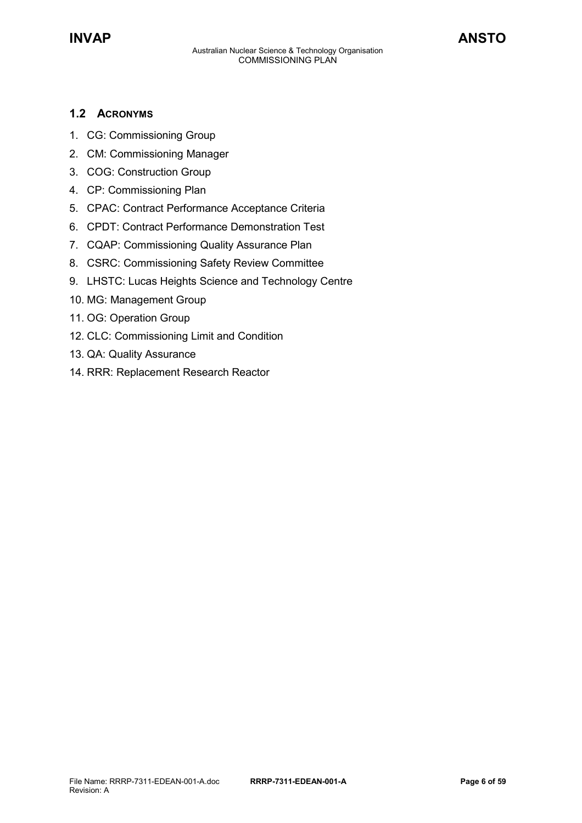### <span id="page-5-0"></span>**1.2 ACRONYMS**

- 1. CG: Commissioning Group
- 2. CM: Commissioning Manager
- 3. COG: Construction Group
- 4. CP: Commissioning Plan
- 5. CPAC: Contract Performance Acceptance Criteria
- 6. CPDT: Contract Performance Demonstration Test
- 7. CQAP: Commissioning Quality Assurance Plan
- 8. CSRC: Commissioning Safety Review Committee
- 9. LHSTC: Lucas Heights Science and Technology Centre
- 10. MG: Management Group
- 11. OG: Operation Group
- 12. CLC: Commissioning Limit and Condition
- 13. QA: Quality Assurance
- 14. RRR: Replacement Research Reactor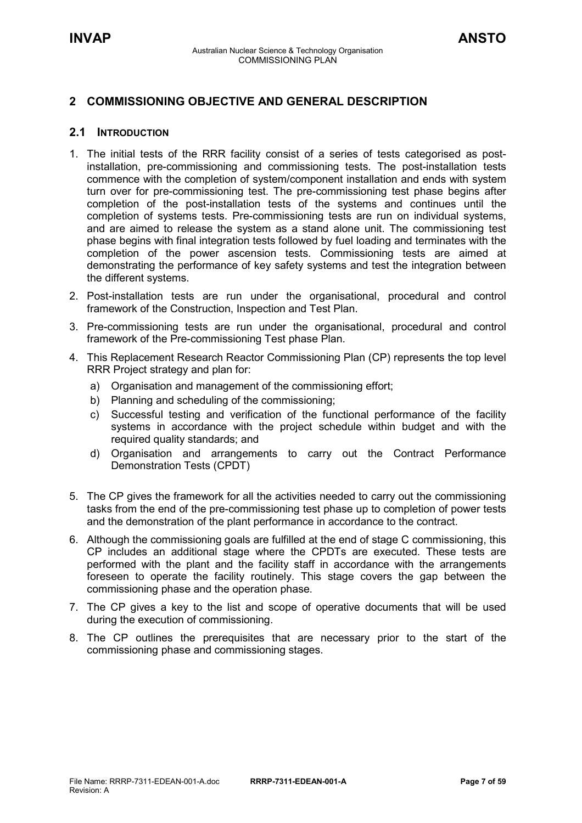### <span id="page-6-0"></span>**2 COMMISSIONING OBJECTIVE AND GENERAL DESCRIPTION**

### <span id="page-6-1"></span>**2.1 INTRODUCTION**

- 1. The initial tests of the RRR facility consist of a series of tests categorised as postinstallation, pre-commissioning and commissioning tests. The post-installation tests commence with the completion of system/component installation and ends with system turn over for pre-commissioning test. The pre-commissioning test phase begins after completion of the post-installation tests of the systems and continues until the completion of systems tests. Pre-commissioning tests are run on individual systems, and are aimed to release the system as a stand alone unit. The commissioning test phase begins with final integration tests followed by fuel loading and terminates with the completion of the power ascension tests. Commissioning tests are aimed at demonstrating the performance of key safety systems and test the integration between the different systems.
- 2. Post-installation tests are run under the organisational, procedural and control framework of the Construction, Inspection and Test Plan.
- 3. Pre-commissioning tests are run under the organisational, procedural and control framework of the Pre-commissioning Test phase Plan.
- 4. This Replacement Research Reactor Commissioning Plan (CP) represents the top level RRR Project strategy and plan for:
	- a) Organisation and management of the commissioning effort;
	- b) Planning and scheduling of the commissioning;
	- c) Successful testing and verification of the functional performance of the facility systems in accordance with the project schedule within budget and with the required quality standards; and
	- d) Organisation and arrangements to carry out the Contract Performance Demonstration Tests (CPDT)
- 5. The CP gives the framework for all the activities needed to carry out the commissioning tasks from the end of the pre-commissioning test phase up to completion of power tests and the demonstration of the plant performance in accordance to the contract.
- 6. Although the commissioning goals are fulfilled at the end of stage C commissioning, this CP includes an additional stage where the CPDTs are executed. These tests are performed with the plant and the facility staff in accordance with the arrangements foreseen to operate the facility routinely. This stage covers the gap between the commissioning phase and the operation phase.
- 7. The CP gives a key to the list and scope of operative documents that will be used during the execution of commissioning.
- 8. The CP outlines the prerequisites that are necessary prior to the start of the commissioning phase and commissioning stages.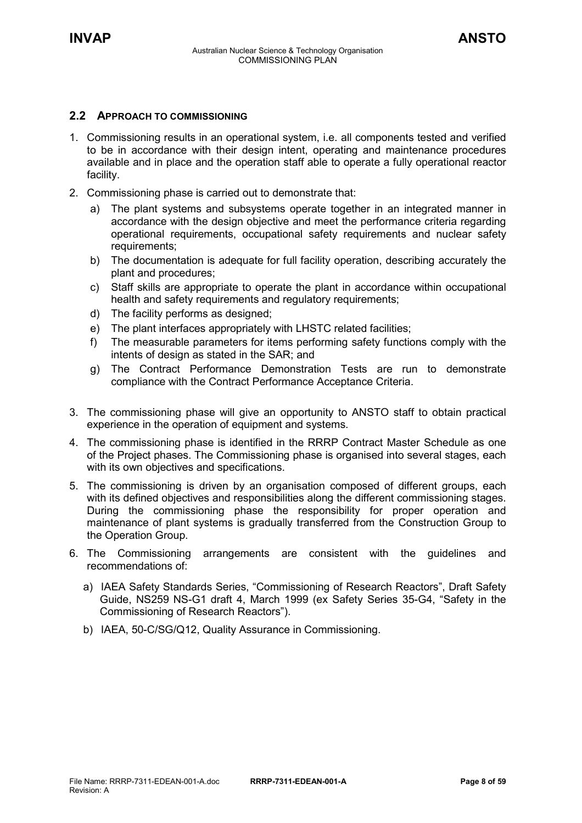### <span id="page-7-0"></span>**2.2 APPROACH TO COMMISSIONING**

- 1. Commissioning results in an operational system, i.e. all components tested and verified to be in accordance with their design intent, operating and maintenance procedures available and in place and the operation staff able to operate a fully operational reactor facility.
- 2. Commissioning phase is carried out to demonstrate that:
	- a) The plant systems and subsystems operate together in an integrated manner in accordance with the design objective and meet the performance criteria regarding operational requirements, occupational safety requirements and nuclear safety requirements;
	- b) The documentation is adequate for full facility operation, describing accurately the plant and procedures;
	- c) Staff skills are appropriate to operate the plant in accordance within occupational health and safety requirements and regulatory requirements;
	- d) The facility performs as designed;
	- e) The plant interfaces appropriately with LHSTC related facilities;
	- f) The measurable parameters for items performing safety functions comply with the intents of design as stated in the SAR; and
	- g) The Contract Performance Demonstration Tests are run to demonstrate compliance with the Contract Performance Acceptance Criteria.
- 3. The commissioning phase will give an opportunity to ANSTO staff to obtain practical experience in the operation of equipment and systems.
- 4. The commissioning phase is identified in the RRRP Contract Master Schedule as one of the Project phases. The Commissioning phase is organised into several stages, each with its own objectives and specifications.
- 5. The commissioning is driven by an organisation composed of different groups, each with its defined objectives and responsibilities along the different commissioning stages. During the commissioning phase the responsibility for proper operation and maintenance of plant systems is gradually transferred from the Construction Group to the Operation Group.
- 6. The Commissioning arrangements are consistent with the guidelines and recommendations of:
	- a) IAEA Safety Standards Series, "Commissioning of Research Reactors", Draft Safety Guide, NS259 NS-G1 draft 4, March 1999 (ex Safety Series 35-G4, "Safety in the Commissioning of Research Reactors").
	- b) IAEA, 50-C/SG/Q12, Quality Assurance in Commissioning.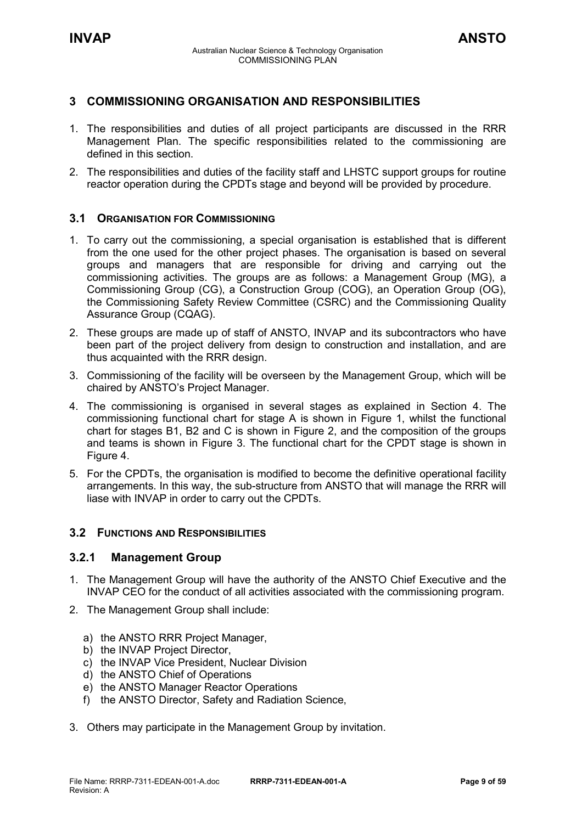### <span id="page-8-0"></span>**3 COMMISSIONING ORGANISATION AND RESPONSIBILITIES**

- 1. The responsibilities and duties of all project participants are discussed in the RRR Management Plan. The specific responsibilities related to the commissioning are defined in this section.
- 2. The responsibilities and duties of the facility staff and LHSTC support groups for routine reactor operation during the CPDTs stage and beyond will be provided by procedure.

### <span id="page-8-1"></span>**3.1 ORGANISATION FOR COMMISSIONING**

- 1. To carry out the commissioning, a special organisation is established that is different from the one used for the other project phases. The organisation is based on several groups and managers that are responsible for driving and carrying out the commissioning activities. The groups are as follows: a Management Group (MG), a Commissioning Group (CG), a Construction Group (COG), an Operation Group (OG), the Commissioning Safety Review Committee (CSRC) and the Commissioning Quality Assurance Group (CQAG).
- 2. These groups are made up of staff of ANSTO, INVAP and its subcontractors who have been part of the project delivery from design to construction and installation, and are thus acquainted with the RRR design.
- 3. Commissioning of the facility will be overseen by the Management Group, which will be chaired by ANSTO's Project Manager.
- 4. The commissioning is organised in several stages as explained in Section 4. The commissioning functional chart for stage A is shown in Figure 1, whilst the functional chart for stages B1, B2 and C is shown in Figure 2, and the composition of the groups and teams is shown in Figure 3. The functional chart for the CPDT stage is shown in Figure 4.
- 5. For the CPDTs, the organisation is modified to become the definitive operational facility arrangements. In this way, the sub-structure from ANSTO that will manage the RRR will liase with INVAP in order to carry out the CPDTs.

### <span id="page-8-2"></span>**3.2 FUNCTIONS AND RESPONSIBILITIES**

### <span id="page-8-3"></span>**3.2.1 Management Group**

- 1. The Management Group will have the authority of the ANSTO Chief Executive and the INVAP CEO for the conduct of all activities associated with the commissioning program.
- 2. The Management Group shall include:
	- a) the ANSTO RRR Project Manager,
	- b) the INVAP Project Director.
	- c) the INVAP Vice President, Nuclear Division
	- d) the ANSTO Chief of Operations
	- e) the ANSTO Manager Reactor Operations
	- f) the ANSTO Director, Safety and Radiation Science,
- 3. Others may participate in the Management Group by invitation.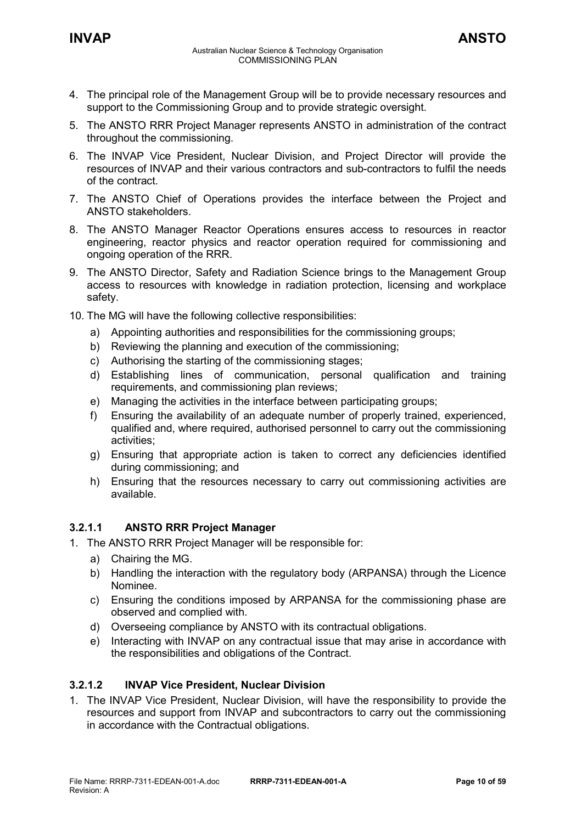- 4. The principal role of the Management Group will be to provide necessary resources and support to the Commissioning Group and to provide strategic oversight.
- 5. The ANSTO RRR Project Manager represents ANSTO in administration of the contract throughout the commissioning.
- 6. The INVAP Vice President, Nuclear Division, and Project Director will provide the resources of INVAP and their various contractors and sub-contractors to fulfil the needs of the contract.
- 7. The ANSTO Chief of Operations provides the interface between the Project and ANSTO stakeholders.
- 8. The ANSTO Manager Reactor Operations ensures access to resources in reactor engineering, reactor physics and reactor operation required for commissioning and ongoing operation of the RRR.
- 9. The ANSTO Director, Safety and Radiation Science brings to the Management Group access to resources with knowledge in radiation protection, licensing and workplace safety.
- 10. The MG will have the following collective responsibilities:
	- a) Appointing authorities and responsibilities for the commissioning groups;
	- b) Reviewing the planning and execution of the commissioning;
	- c) Authorising the starting of the commissioning stages;
	- d) Establishing lines of communication, personal qualification and training requirements, and commissioning plan reviews;
	- e) Managing the activities in the interface between participating groups;
	- f) Ensuring the availability of an adequate number of properly trained, experienced, qualified and, where required, authorised personnel to carry out the commissioning activities;
	- g) Ensuring that appropriate action is taken to correct any deficiencies identified during commissioning; and
	- h) Ensuring that the resources necessary to carry out commissioning activities are available.

### **3.2.1.1 ANSTO RRR Project Manager**

- 1. The ANSTO RRR Project Manager will be responsible for:
	- a) Chairing the MG.
	- b) Handling the interaction with the regulatory body (ARPANSA) through the Licence Nominee.
	- c) Ensuring the conditions imposed by ARPANSA for the commissioning phase are observed and complied with.
	- d) Overseeing compliance by ANSTO with its contractual obligations.
	- e) Interacting with INVAP on any contractual issue that may arise in accordance with the responsibilities and obligations of the Contract.

### **3.2.1.2 INVAP Vice President, Nuclear Division**

1. The INVAP Vice President, Nuclear Division, will have the responsibility to provide the resources and support from INVAP and subcontractors to carry out the commissioning in accordance with the Contractual obligations.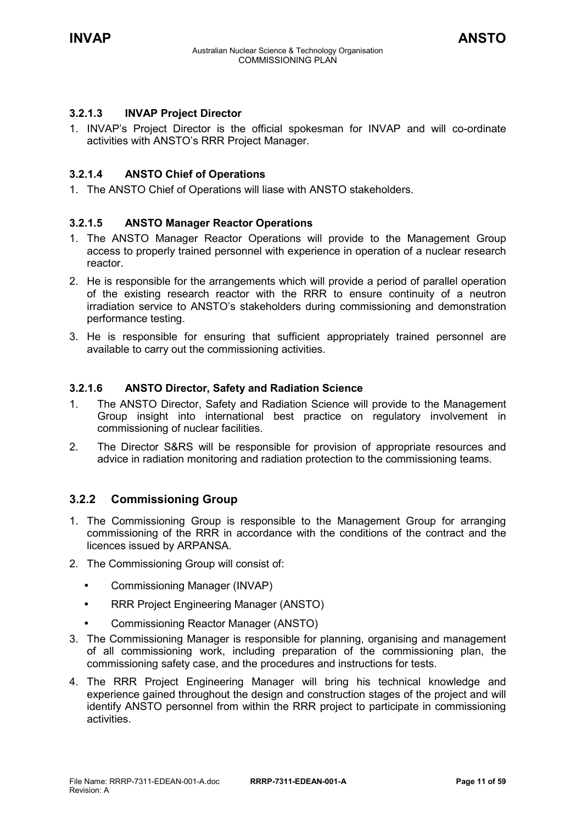### **3.2.1.3 INVAP Project Director**

1. INVAP's Project Director is the official spokesman for INVAP and will co-ordinate activities with ANSTO's RRR Project Manager.

### **3.2.1.4 ANSTO Chief of Operations**

1. The ANSTO Chief of Operations will liase with ANSTO stakeholders.

### **3.2.1.5 ANSTO Manager Reactor Operations**

- 1. The ANSTO Manager Reactor Operations will provide to the Management Group access to properly trained personnel with experience in operation of a nuclear research reactor.
- 2. He is responsible for the arrangements which will provide a period of parallel operation of the existing research reactor with the RRR to ensure continuity of a neutron irradiation service to ANSTO's stakeholders during commissioning and demonstration performance testing.
- 3. He is responsible for ensuring that sufficient appropriately trained personnel are available to carry out the commissioning activities.

### **3.2.1.6 ANSTO Director, Safety and Radiation Science**

- 1. The ANSTO Director, Safety and Radiation Science will provide to the Management Group insight into international best practice on regulatory involvement in commissioning of nuclear facilities.
- 2. The Director S&RS will be responsible for provision of appropriate resources and advice in radiation monitoring and radiation protection to the commissioning teams.

### <span id="page-10-0"></span>**3.2.2 Commissioning Group**

- 1. The Commissioning Group is responsible to the Management Group for arranging commissioning of the RRR in accordance with the conditions of the contract and the licences issued by ARPANSA.
- 2. The Commissioning Group will consist of:
	- Commissioning Manager (INVAP)
	- RRR Project Engineering Manager (ANSTO)
	- Commissioning Reactor Manager (ANSTO)
- 3. The Commissioning Manager is responsible for planning, organising and management of all commissioning work, including preparation of the commissioning plan, the commissioning safety case, and the procedures and instructions for tests.
- 4. The RRR Project Engineering Manager will bring his technical knowledge and experience gained throughout the design and construction stages of the project and will identify ANSTO personnel from within the RRR project to participate in commissioning activities.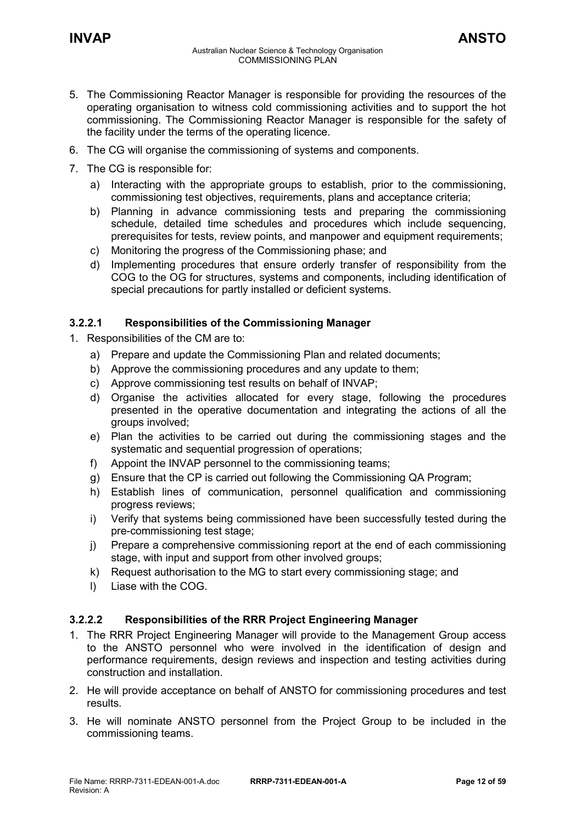- 6. The CG will organise the commissioning of systems and components.
- 7. The CG is responsible for:
	- a) Interacting with the appropriate groups to establish, prior to the commissioning, commissioning test objectives, requirements, plans and acceptance criteria;
	- b) Planning in advance commissioning tests and preparing the commissioning schedule, detailed time schedules and procedures which include sequencing, prerequisites for tests, review points, and manpower and equipment requirements;
	- c) Monitoring the progress of the Commissioning phase; and
	- d) Implementing procedures that ensure orderly transfer of responsibility from the COG to the OG for structures, systems and components, including identification of special precautions for partly installed or deficient systems.

### **3.2.2.1 Responsibilities of the Commissioning Manager**

- 1. Responsibilities of the CM are to:
	- a) Prepare and update the Commissioning Plan and related documents;
	- b) Approve the commissioning procedures and any update to them;
	- c) Approve commissioning test results on behalf of INVAP;
	- d) Organise the activities allocated for every stage, following the procedures presented in the operative documentation and integrating the actions of all the groups involved;
	- e) Plan the activities to be carried out during the commissioning stages and the systematic and sequential progression of operations;
	- f) Appoint the INVAP personnel to the commissioning teams;
	- g) Ensure that the CP is carried out following the Commissioning QA Program;
	- h) Establish lines of communication, personnel qualification and commissioning progress reviews;
	- i) Verify that systems being commissioned have been successfully tested during the pre-commissioning test stage;
	- j) Prepare a comprehensive commissioning report at the end of each commissioning stage, with input and support from other involved groups;
	- k) Request authorisation to the MG to start every commissioning stage; and
	- l) Liase with the COG.

### **3.2.2.2 Responsibilities of the RRR Project Engineering Manager**

- 1. The RRR Project Engineering Manager will provide to the Management Group access to the ANSTO personnel who were involved in the identification of design and performance requirements, design reviews and inspection and testing activities during construction and installation.
- 2. He will provide acceptance on behalf of ANSTO for commissioning procedures and test results.
- 3. He will nominate ANSTO personnel from the Project Group to be included in the commissioning teams.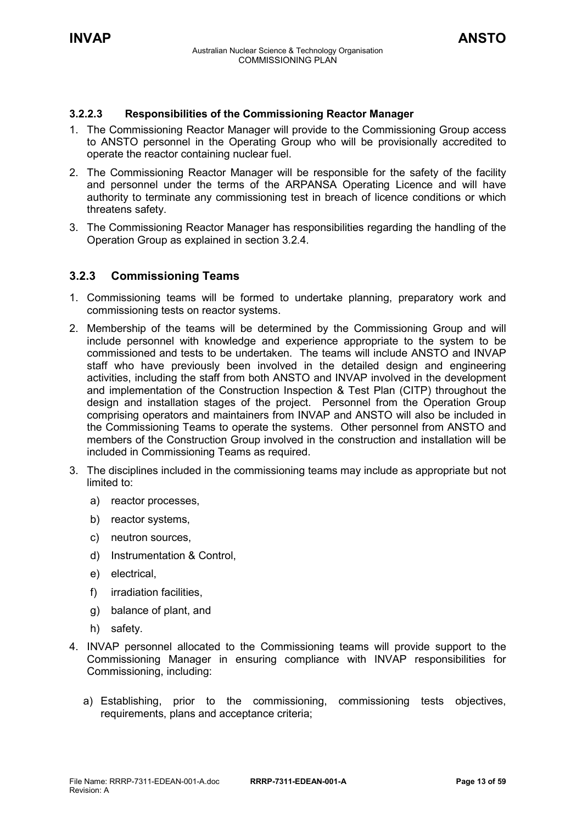### **3.2.2.3 Responsibilities of the Commissioning Reactor Manager**

- 1. The Commissioning Reactor Manager will provide to the Commissioning Group access to ANSTO personnel in the Operating Group who will be provisionally accredited to operate the reactor containing nuclear fuel.
- 2. The Commissioning Reactor Manager will be responsible for the safety of the facility and personnel under the terms of the ARPANSA Operating Licence and will have authority to terminate any commissioning test in breach of licence conditions or which threatens safety.
- 3. The Commissioning Reactor Manager has responsibilities regarding the handling of the Operation Group as explained in section 3.2.4.

### <span id="page-12-0"></span>**3.2.3 Commissioning Teams**

- 1. Commissioning teams will be formed to undertake planning, preparatory work and commissioning tests on reactor systems.
- 2. Membership of the teams will be determined by the Commissioning Group and will include personnel with knowledge and experience appropriate to the system to be commissioned and tests to be undertaken. The teams will include ANSTO and INVAP staff who have previously been involved in the detailed design and engineering activities, including the staff from both ANSTO and INVAP involved in the development and implementation of the Construction Inspection & Test Plan (CITP) throughout the design and installation stages of the project. Personnel from the Operation Group comprising operators and maintainers from INVAP and ANSTO will also be included in the Commissioning Teams to operate the systems. Other personnel from ANSTO and members of the Construction Group involved in the construction and installation will be included in Commissioning Teams as required.
- 3. The disciplines included in the commissioning teams may include as appropriate but not limited to:
	- a) reactor processes,
	- b) reactor systems,
	- c) neutron sources,
	- d) Instrumentation & Control,
	- e) electrical,
	- f) irradiation facilities,
	- g) balance of plant, and
	- h) safety.
- 4. INVAP personnel allocated to the Commissioning teams will provide support to the Commissioning Manager in ensuring compliance with INVAP responsibilities for Commissioning, including:
	- a) Establishing, prior to the commissioning, commissioning tests objectives, requirements, plans and acceptance criteria;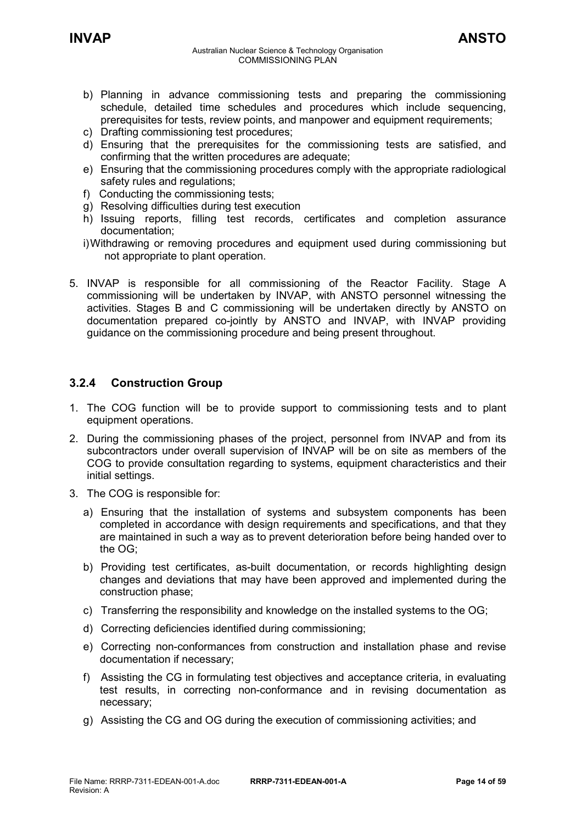- b) Planning in advance commissioning tests and preparing the commissioning schedule, detailed time schedules and procedures which include sequencing, prerequisites for tests, review points, and manpower and equipment requirements;
- c) Drafting commissioning test procedures;
- d) Ensuring that the prerequisites for the commissioning tests are satisfied, and confirming that the written procedures are adequate;
- e) Ensuring that the commissioning procedures comply with the appropriate radiological safety rules and regulations;
- f) Conducting the commissioning tests;
- g) Resolving difficulties during test execution
- h) Issuing reports, filling test records, certificates and completion assurance documentation;
- i) Withdrawing or removing procedures and equipment used during commissioning but not appropriate to plant operation.
- 5. INVAP is responsible for all commissioning of the Reactor Facility. Stage A commissioning will be undertaken by INVAP, with ANSTO personnel witnessing the activities. Stages B and C commissioning will be undertaken directly by ANSTO on documentation prepared co-jointly by ANSTO and INVAP, with INVAP providing guidance on the commissioning procedure and being present throughout.

### <span id="page-13-0"></span>**3.2.4 Construction Group**

- 1. The COG function will be to provide support to commissioning tests and to plant equipment operations.
- 2. During the commissioning phases of the project, personnel from INVAP and from its subcontractors under overall supervision of INVAP will be on site as members of the COG to provide consultation regarding to systems, equipment characteristics and their initial settings.
- 3. The COG is responsible for:
	- a) Ensuring that the installation of systems and subsystem components has been completed in accordance with design requirements and specifications, and that they are maintained in such a way as to prevent deterioration before being handed over to the OG;
	- b) Providing test certificates, as-built documentation, or records highlighting design changes and deviations that may have been approved and implemented during the construction phase;
	- c) Transferring the responsibility and knowledge on the installed systems to the OG;
	- d) Correcting deficiencies identified during commissioning;
	- e) Correcting non-conformances from construction and installation phase and revise documentation if necessary;
	- f) Assisting the CG in formulating test objectives and acceptance criteria, in evaluating test results, in correcting non-conformance and in revising documentation as necessary;
	- g) Assisting the CG and OG during the execution of commissioning activities; and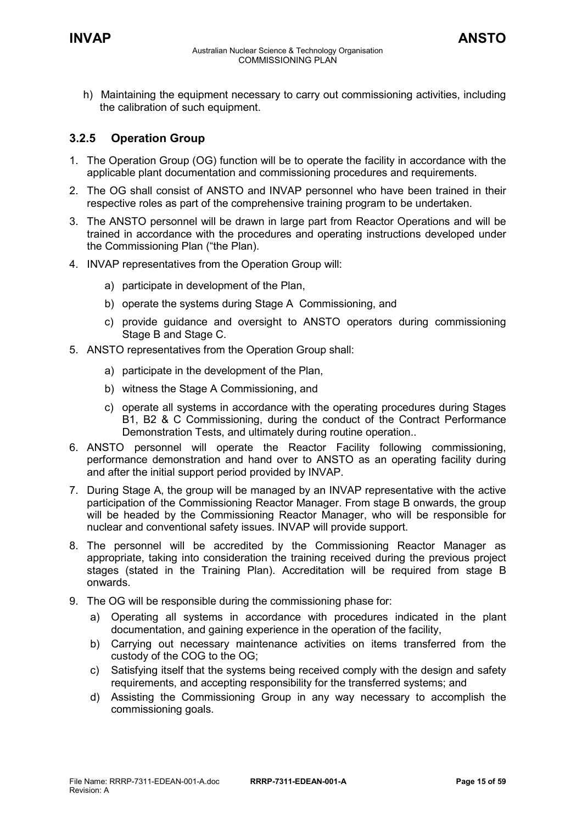h) Maintaining the equipment necessary to carry out commissioning activities, including the calibration of such equipment.

### <span id="page-14-0"></span>**3.2.5 Operation Group**

- 1. The Operation Group (OG) function will be to operate the facility in accordance with the applicable plant documentation and commissioning procedures and requirements.
- 2. The OG shall consist of ANSTO and INVAP personnel who have been trained in their respective roles as part of the comprehensive training program to be undertaken.
- 3. The ANSTO personnel will be drawn in large part from Reactor Operations and will be trained in accordance with the procedures and operating instructions developed under the Commissioning Plan ("the Plan).
- 4. INVAP representatives from the Operation Group will:
	- a) participate in development of the Plan,
	- b) operate the systems during Stage A Commissioning, and
	- c) provide guidance and oversight to ANSTO operators during commissioning Stage B and Stage C.
- 5. ANSTO representatives from the Operation Group shall:
	- a) participate in the development of the Plan,
	- b) witness the Stage A Commissioning, and
	- c) operate all systems in accordance with the operating procedures during Stages B1, B2 & C Commissioning, during the conduct of the Contract Performance Demonstration Tests, and ultimately during routine operation..
- 6. ANSTO personnel will operate the Reactor Facility following commissioning, performance demonstration and hand over to ANSTO as an operating facility during and after the initial support period provided by INVAP.
- 7. During Stage A, the group will be managed by an INVAP representative with the active participation of the Commissioning Reactor Manager. From stage B onwards, the group will be headed by the Commissioning Reactor Manager, who will be responsible for nuclear and conventional safety issues. INVAP will provide support.
- 8. The personnel will be accredited by the Commissioning Reactor Manager as appropriate, taking into consideration the training received during the previous project stages (stated in the Training Plan). Accreditation will be required from stage B onwards.
- 9. The OG will be responsible during the commissioning phase for:
	- a) Operating all systems in accordance with procedures indicated in the plant documentation, and gaining experience in the operation of the facility,
	- b) Carrying out necessary maintenance activities on items transferred from the custody of the COG to the OG;
	- c) Satisfying itself that the systems being received comply with the design and safety requirements, and accepting responsibility for the transferred systems; and
	- d) Assisting the Commissioning Group in any way necessary to accomplish the commissioning goals.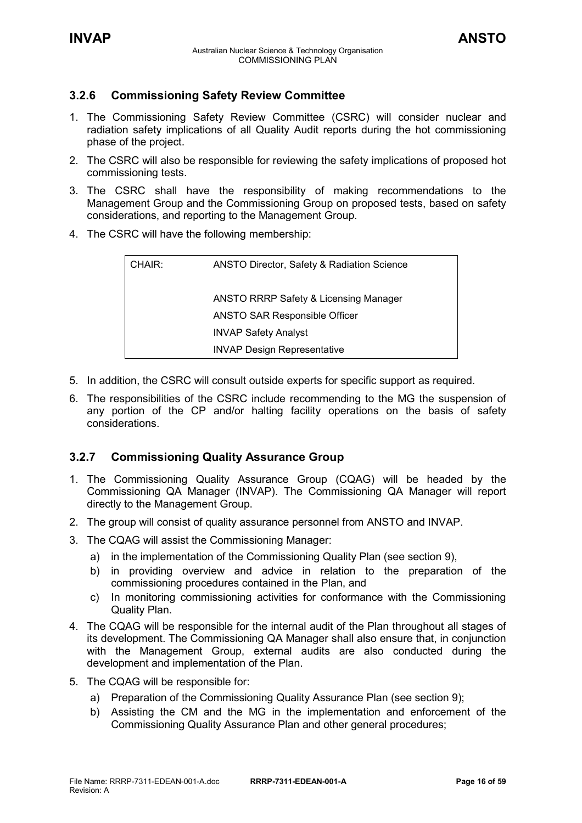### <span id="page-15-0"></span>**3.2.6 Commissioning Safety Review Committee**

- 1. The Commissioning Safety Review Committee (CSRC) will consider nuclear and radiation safety implications of all Quality Audit reports during the hot commissioning phase of the project.
- 2. The CSRC will also be responsible for reviewing the safety implications of proposed hot commissioning tests.
- 3. The CSRC shall have the responsibility of making recommendations to the Management Group and the Commissioning Group on proposed tests, based on safety considerations, and reporting to the Management Group.
- 4. The CSRC will have the following membership:

| CHAIR: | <b>ANSTO Director, Safety &amp; Radiation Science</b> |
|--------|-------------------------------------------------------|
|        | <b>ANSTO RRRP Safety &amp; Licensing Manager</b>      |
|        | <b>ANSTO SAR Responsible Officer</b>                  |
|        | <b>INVAP Safety Analyst</b>                           |
|        | <b>INVAP Design Representative</b>                    |

- 5. In addition, the CSRC will consult outside experts for specific support as required.
- 6. The responsibilities of the CSRC include recommending to the MG the suspension of any portion of the CP and/or halting facility operations on the basis of safety considerations.

### <span id="page-15-1"></span>**3.2.7 Commissioning Quality Assurance Group**

- 1. The Commissioning Quality Assurance Group (CQAG) will be headed by the Commissioning QA Manager (INVAP). The Commissioning QA Manager will report directly to the Management Group.
- 2. The group will consist of quality assurance personnel from ANSTO and INVAP.
- 3. The CQAG will assist the Commissioning Manager:
	- a) in the implementation of the Commissioning Quality Plan (see section 9),
	- b) in providing overview and advice in relation to the preparation of the commissioning procedures contained in the Plan, and
	- c) In monitoring commissioning activities for conformance with the Commissioning Quality Plan.
- 4. The CQAG will be responsible for the internal audit of the Plan throughout all stages of its development. The Commissioning QA Manager shall also ensure that, in conjunction with the Management Group, external audits are also conducted during the development and implementation of the Plan.
- 5. The CQAG will be responsible for:
	- a) Preparation of the Commissioning Quality Assurance Plan (see section 9);
	- b) Assisting the CM and the MG in the implementation and enforcement of the Commissioning Quality Assurance Plan and other general procedures;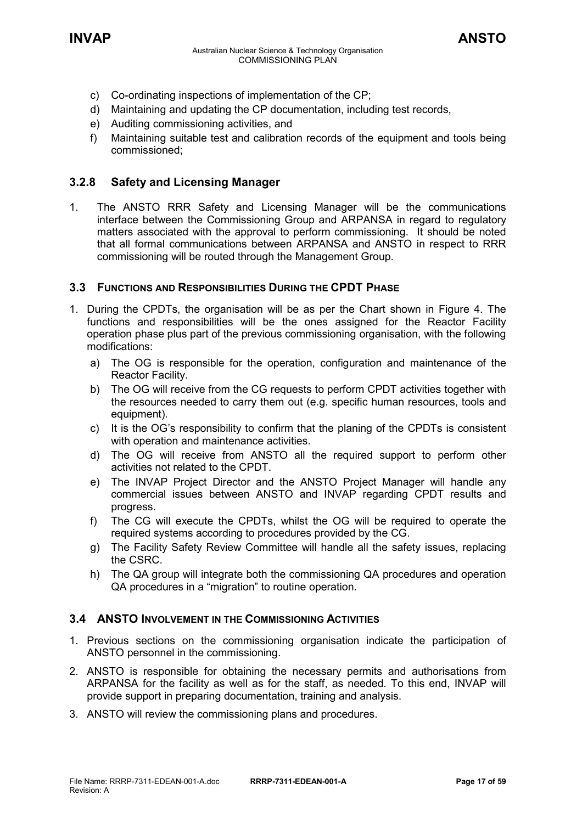- c) Co-ordinating inspections of implementation of the CP;
- d) Maintaining and updating the CP documentation, including test records,
- e) Auditing commissioning activities, and
- f) Maintaining suitable test and calibration records of the equipment and tools being commissioned;

### <span id="page-16-0"></span>**3.2.8 Safety and Licensing Manager**

1. The ANSTO RRR Safety and Licensing Manager will be the communications interface between the Commissioning Group and ARPANSA in regard to regulatory matters associated with the approval to perform commissioning. It should be noted that all formal communications between ARPANSA and ANSTO in respect to RRR commissioning will be routed through the Management Group.

### <span id="page-16-1"></span>**3.3 FUNCTIONS AND RESPONSIBILITIES DURING THE CPDT PHASE**

- 1. During the CPDTs, the organisation will be as per the Chart shown in Figure 4. The functions and responsibilities will be the ones assigned for the Reactor Facility operation phase plus part of the previous commissioning organisation, with the following modifications:
	- a) The OG is responsible for the operation, configuration and maintenance of the Reactor Facility.
	- b) The OG will receive from the CG requests to perform CPDT activities together with the resources needed to carry them out (e.g. specific human resources, tools and equipment).
	- c) It is the OG's responsibility to confirm that the planing of the CPDTs is consistent with operation and maintenance activities.
	- d) The OG will receive from ANSTO all the required support to perform other activities not related to the CPDT.
	- e) The INVAP Project Director and the ANSTO Project Manager will handle any commercial issues between ANSTO and INVAP regarding CPDT results and progress.
	- f) The CG will execute the CPDTs, whilst the OG will be required to operate the required systems according to procedures provided by the CG.
	- g) The Facility Safety Review Committee will handle all the safety issues, replacing the CSRC.
	- h) The QA group will integrate both the commissioning QA procedures and operation QA procedures in a "migration" to routine operation.

### <span id="page-16-2"></span>**3.4 ANSTO INVOLVEMENT IN THE COMMISSIONING ACTIVITIES**

- 1. Previous sections on the commissioning organisation indicate the participation of ANSTO personnel in the commissioning.
- 2. ANSTO is responsible for obtaining the necessary permits and authorisations from ARPANSA for the facility as well as for the staff, as needed. To this end, INVAP will provide support in preparing documentation, training and analysis.
- 3. ANSTO will review the commissioning plans and procedures.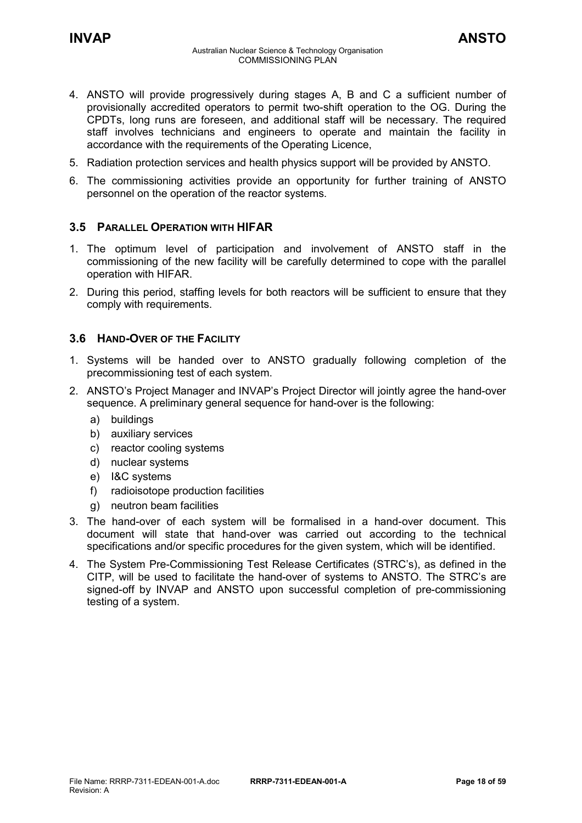- 5. Radiation protection services and health physics support will be provided by ANSTO.
- 6. The commissioning activities provide an opportunity for further training of ANSTO personnel on the operation of the reactor systems.

### <span id="page-17-0"></span>**3.5 PARALLEL OPERATION WITH HIFAR**

- 1. The optimum level of participation and involvement of ANSTO staff in the commissioning of the new facility will be carefully determined to cope with the parallel operation with HIFAR.
- 2. During this period, staffing levels for both reactors will be sufficient to ensure that they comply with requirements.

### <span id="page-17-1"></span>**3.6 HAND-OVER OF THE FACILITY**

- 1. Systems will be handed over to ANSTO gradually following completion of the precommissioning test of each system.
- 2. ANSTO's Project Manager and INVAP's Project Director will jointly agree the hand-over sequence. A preliminary general sequence for hand-over is the following:
	- a) buildings
	- b) auxiliary services
	- c) reactor cooling systems
	- d) nuclear systems
	- e) I&C systems
	- f) radioisotope production facilities
	- g) neutron beam facilities
- 3. The hand-over of each system will be formalised in a hand-over document. This document will state that hand-over was carried out according to the technical specifications and/or specific procedures for the given system, which will be identified.
- 4. The System Pre-Commissioning Test Release Certificates (STRC's), as defined in the CITP, will be used to facilitate the hand-over of systems to ANSTO. The STRC's are signed-off by INVAP and ANSTO upon successful completion of pre-commissioning testing of a system.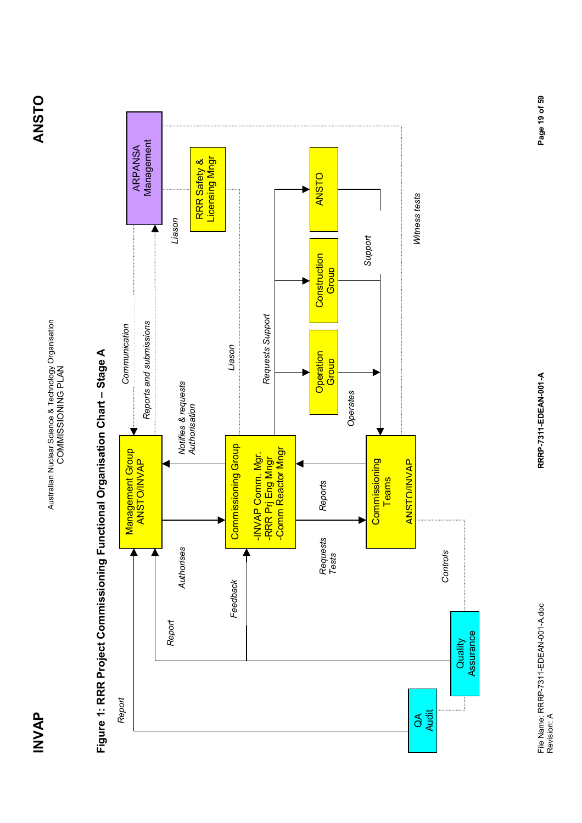

## Figure 1: RRR Project Commissioning Functional Organisation Chart - Stage A **Figure 1: RRR Project Commissioning Functional Organisation Chart – Stage A**

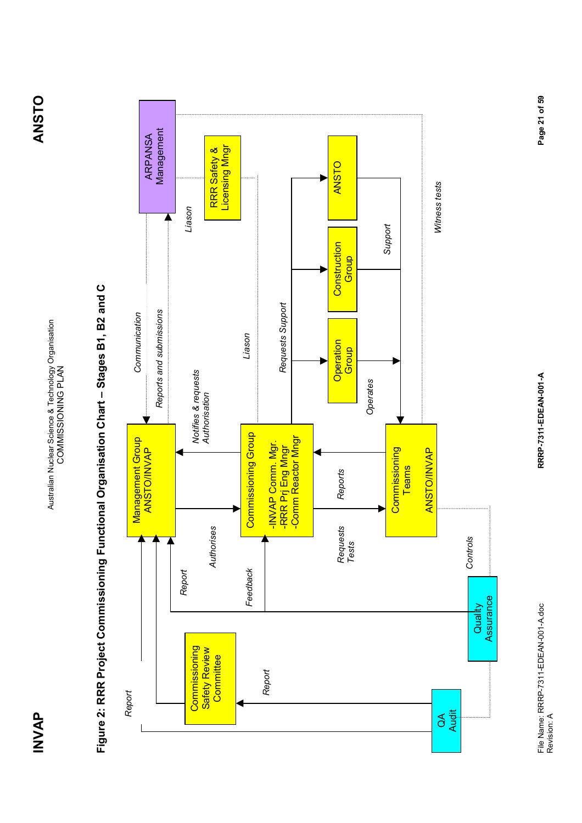

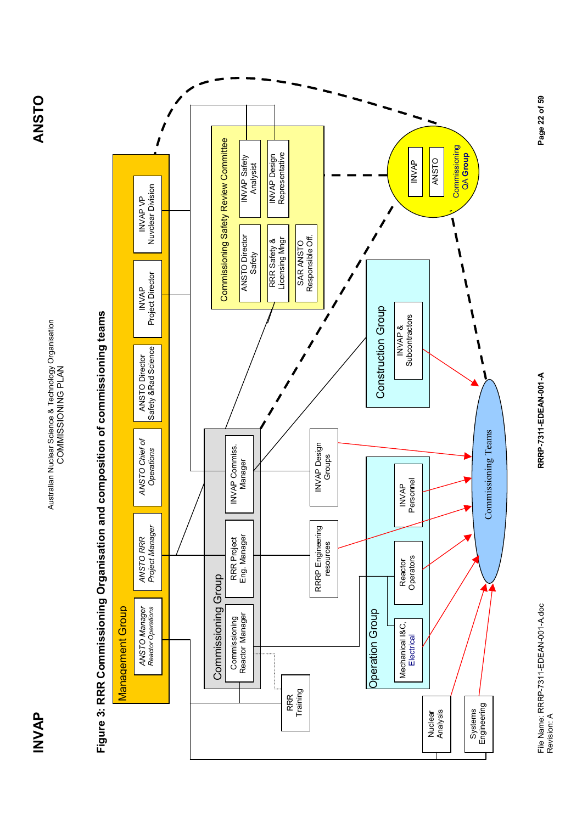

# Figure 3: RRR Commissioning Organisation and composition of commissioning teams **Figure 3: RRR Commissioning Organisation and composition of commissioning teams**



RRRP-7311-EDEAN-001-A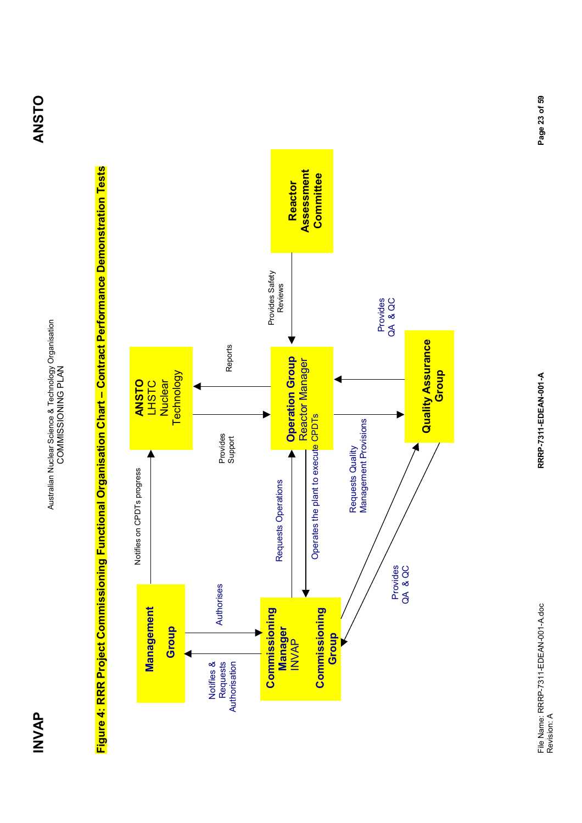Australian Nuclear Science & Technology Organisation<br>COMMISSIONING PLAN Australian Nuclear Science & Technology Organisation COMMISSIONING PLAN

Figure 4: RRR Project Commissioning Functional Organisation Chart – Contract Performance Demonstration Tests **Figure 4: RRR Project Commissioning Functional Organisation Chart – Contract Performance Demonstration Tests**

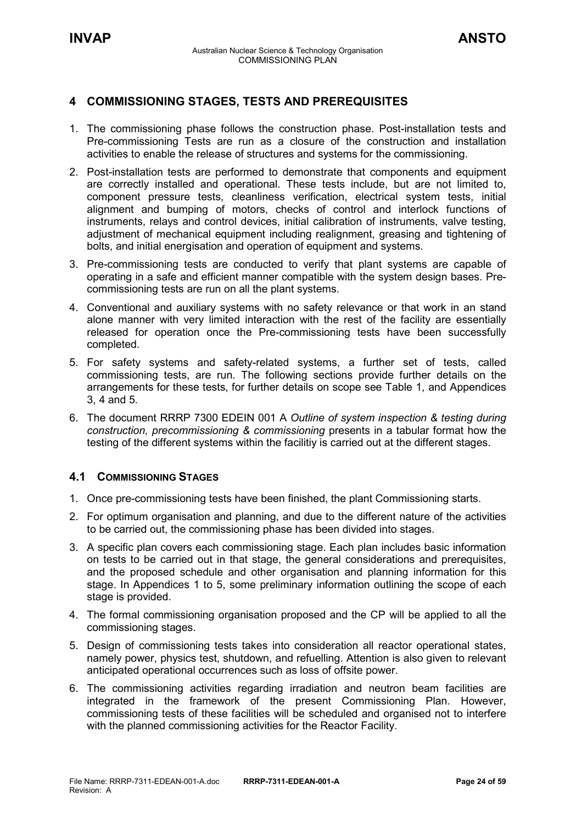### <span id="page-23-0"></span>**4 COMMISSIONING STAGES, TESTS AND PREREQUISITES**

- 1. The commissioning phase follows the construction phase. Post-installation tests and Pre-commissioning Tests are run as a closure of the construction and installation activities to enable the release of structures and systems for the commissioning.
- 2. Post-installation tests are performed to demonstrate that components and equipment are correctly installed and operational. These tests include, but are not limited to, component pressure tests, cleanliness verification, electrical system tests, initial alignment and bumping of motors, checks of control and interlock functions of instruments, relays and control devices, initial calibration of instruments, valve testing, adjustment of mechanical equipment including realignment, greasing and tightening of bolts, and initial energisation and operation of equipment and systems.
- 3. Pre-commissioning tests are conducted to verify that plant systems are capable of operating in a safe and efficient manner compatible with the system design bases. Precommissioning tests are run on all the plant systems.
- 4. Conventional and auxiliary systems with no safety relevance or that work in an stand alone manner with very limited interaction with the rest of the facility are essentially released for operation once the Pre-commissioning tests have been successfully completed.
- 5. For safety systems and safety-related systems, a further set of tests, called commissioning tests, are run. The following sections provide further details on the arrangements for these tests, for further details on scope see Table 1, and Appendices 3, 4 and 5.
- 6. The document RRRP 7300 EDEIN 001 A *Outline of system inspection & testing during construction, precommissioning & commissioning* presents in a tabular format how the testing of the different systems within the facilitiy is carried out at the different stages.

### <span id="page-23-1"></span>**4.1 COMMISSIONING STAGES**

- 1. Once pre-commissioning tests have been finished, the plant Commissioning starts.
- 2. For optimum organisation and planning, and due to the different nature of the activities to be carried out, the commissioning phase has been divided into stages.
- 3. A specific plan covers each commissioning stage. Each plan includes basic information on tests to be carried out in that stage, the general considerations and prerequisites, and the proposed schedule and other organisation and planning information for this stage. In Appendices 1 to 5, some preliminary information outlining the scope of each stage is provided.
- 4. The formal commissioning organisation proposed and the CP will be applied to all the commissioning stages.
- 5. Design of commissioning tests takes into consideration all reactor operational states, namely power, physics test, shutdown, and refuelling. Attention is also given to relevant anticipated operational occurrences such as loss of offsite power.
- 6. The commissioning activities regarding irradiation and neutron beam facilities are integrated in the framework of the present Commissioning Plan. However, commissioning tests of these facilities will be scheduled and organised not to interfere with the planned commissioning activities for the Reactor Facility.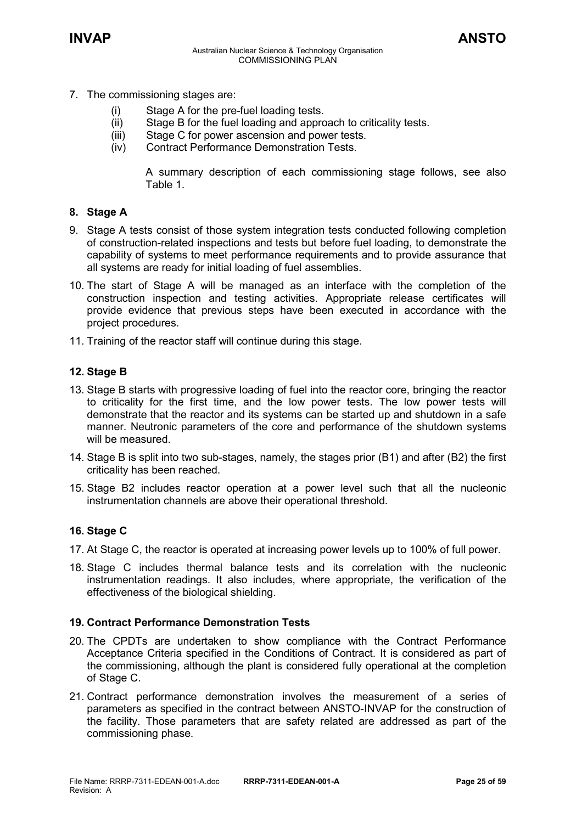- 7. The commissioning stages are:
	- (i) Stage A for the pre-fuel loading tests.
	- (ii) Stage B for the fuel loading and approach to criticality tests.
	- (iii) Stage C for power ascension and power tests.
	- (iv) Contract Performance Demonstration Tests.

A summary description of each commissioning stage follows, see also Table 1.

### **8. Stage A**

- 9. Stage A tests consist of those system integration tests conducted following completion of construction-related inspections and tests but before fuel loading, to demonstrate the capability of systems to meet performance requirements and to provide assurance that all systems are ready for initial loading of fuel assemblies.
- 10. The start of Stage A will be managed as an interface with the completion of the construction inspection and testing activities. Appropriate release certificates will provide evidence that previous steps have been executed in accordance with the project procedures.
- 11. Training of the reactor staff will continue during this stage.

### **12. Stage B**

- 13. Stage B starts with progressive loading of fuel into the reactor core, bringing the reactor to criticality for the first time, and the low power tests. The low power tests will demonstrate that the reactor and its systems can be started up and shutdown in a safe manner. Neutronic parameters of the core and performance of the shutdown systems will be measured.
- 14. Stage B is split into two sub-stages, namely, the stages prior (B1) and after (B2) the first criticality has been reached.
- 15. Stage B2 includes reactor operation at a power level such that all the nucleonic instrumentation channels are above their operational threshold.

### **16. Stage C**

- 17. At Stage C, the reactor is operated at increasing power levels up to 100% of full power.
- 18. Stage C includes thermal balance tests and its correlation with the nucleonic instrumentation readings. It also includes, where appropriate, the verification of the effectiveness of the biological shielding.

### **19. Contract Performance Demonstration Tests**

- 20. The CPDTs are undertaken to show compliance with the Contract Performance Acceptance Criteria specified in the Conditions of Contract. It is considered as part of the commissioning, although the plant is considered fully operational at the completion of Stage C.
- 21. Contract performance demonstration involves the measurement of a series of parameters as specified in the contract between ANSTO-INVAP for the construction of the facility. Those parameters that are safety related are addressed as part of the commissioning phase.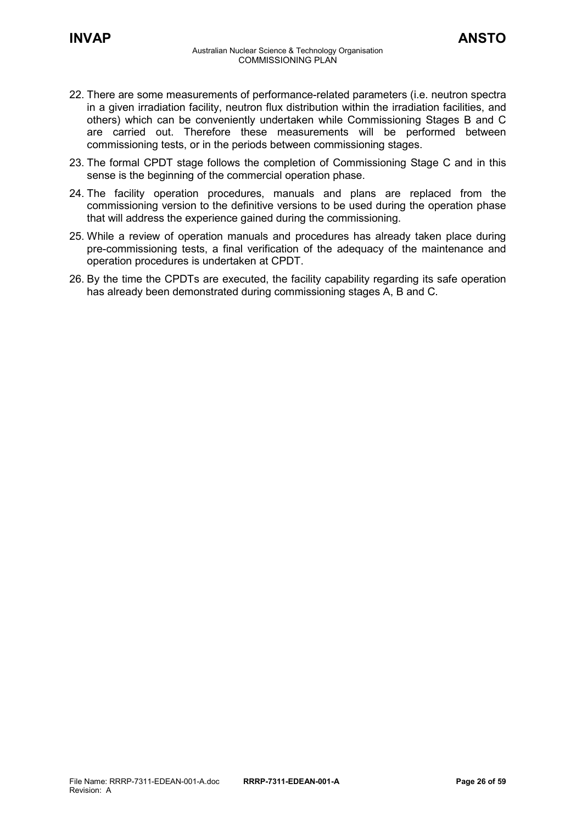- 22. There are some measurements of performance-related parameters (i.e. neutron spectra in a given irradiation facility, neutron flux distribution within the irradiation facilities, and others) which can be conveniently undertaken while Commissioning Stages B and C are carried out. Therefore these measurements will be performed between commissioning tests, or in the periods between commissioning stages.
- 23. The formal CPDT stage follows the completion of Commissioning Stage C and in this sense is the beginning of the commercial operation phase.
- 24. The facility operation procedures, manuals and plans are replaced from the commissioning version to the definitive versions to be used during the operation phase that will address the experience gained during the commissioning.
- 25. While a review of operation manuals and procedures has already taken place during pre-commissioning tests, a final verification of the adequacy of the maintenance and operation procedures is undertaken at CPDT.
- 26. By the time the CPDTs are executed, the facility capability regarding its safe operation has already been demonstrated during commissioning stages A, B and C.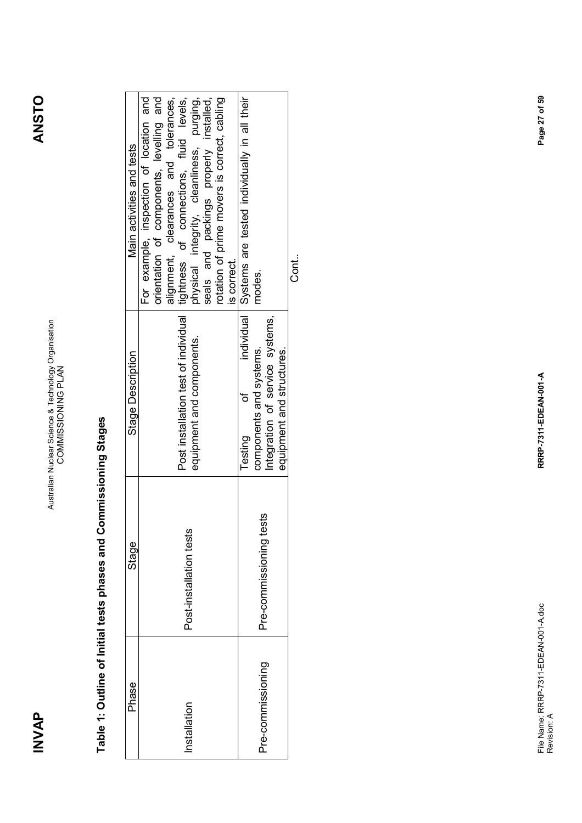**ANSTO** 

|                                                                                                                                                                                                                                                                                                                                                                                                                                              | Cont.<br>O                                                                                                                                                                                                        |
|----------------------------------------------------------------------------------------------------------------------------------------------------------------------------------------------------------------------------------------------------------------------------------------------------------------------------------------------------------------------------------------------------------------------------------------------|-------------------------------------------------------------------------------------------------------------------------------------------------------------------------------------------------------------------|
|                                                                                                                                                                                                                                                                                                                                                                                                                                              |                                                                                                                                                                                                                   |
| đ                                                                                                                                                                                                                                                                                                                                                                                                                                            |                                                                                                                                                                                                                   |
| Testing                                                                                                                                                                                                                                                                                                                                                                                                                                      |                                                                                                                                                                                                                   |
|                                                                                                                                                                                                                                                                                                                                                                                                                                              |                                                                                                                                                                                                                   |
|                                                                                                                                                                                                                                                                                                                                                                                                                                              |                                                                                                                                                                                                                   |
|                                                                                                                                                                                                                                                                                                                                                                                                                                              |                                                                                                                                                                                                                   |
|                                                                                                                                                                                                                                                                                                                                                                                                                                              |                                                                                                                                                                                                                   |
|                                                                                                                                                                                                                                                                                                                                                                                                                                              |                                                                                                                                                                                                                   |
| For example, inspection of location and<br>tightness of connections, fluid levels,<br>orientation of components, levelling and<br>alignment, clearances and tolerances,<br>physical integrity, cleanliness, purging,<br>seals and packings properly installed,<br>rotation of prime movers is correct, cabling<br>is correct.<br>Post installation test of individual<br>equipment and components.<br>Post-installation tests<br>nstallation | Systems are tested individually in all their<br>modes.<br>individual I<br>Integration of service systems,<br>components and systems.<br>equipment and structures.<br>Pre-commissioning tests<br>Pre-commissioning |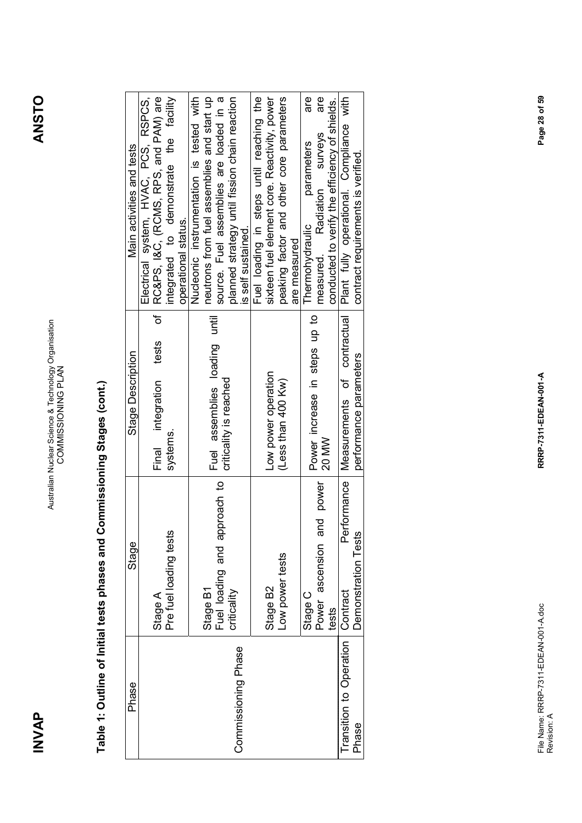**INVAP** 

## Table 1: Outline of Initial tests phases and Commissioning Stages (cont.) **Table 1: Outline of Initial tests phases and Commissioning Stages (cont.)**

| Phase                   | Stage                                    | Stage Description                      | Main activities and tests                                                             |
|-------------------------|------------------------------------------|----------------------------------------|---------------------------------------------------------------------------------------|
|                         | Stage A                                  | Ⴆ<br>tests<br>Final integration        | Electrical system, HVAC, PCS, RSPCS,<br>RC&PS, I&C, (RCMS, RPS, and PAM) are          |
|                         | Pre fuel loading tests                   | systems                                | integrated to demonstrate the facility<br>operational status.                         |
|                         |                                          |                                        | Nucleonic instrumentation is tested with                                              |
|                         | Fuel loading and approach to<br>Stage B1 | Fuel assemblies loading until          | source. Fuel assemblies are loaded in a<br>neutrons from fuel assemblies and start up |
| Commissioning Phase     | criticality                              | criticality is reached                 | planned strategy until fission chain reaction<br>is self sustained.                   |
|                         |                                          |                                        |                                                                                       |
|                         |                                          |                                        | Fuel loading in steps until reaching the                                              |
|                         | Stage B2                                 | Low power operation                    | sixteen fuel element core. Reactivity, power                                          |
|                         | Low power tests                          | (Less than 400 Kw)                     | peaking factor and other core parameters                                              |
|                         |                                          |                                        | are measured                                                                          |
|                         | Stage C                                  |                                        | are<br>parameters<br>Thermohydraulic                                                  |
|                         | Power ascension and power                | Power increase in steps up to<br>20 MW | are<br>measured. Radiation surveys                                                    |
|                         | tests                                    |                                        | conducted to verify the efficiency of shields.                                        |
| Transition to Operation | Performance<br><b>Contract</b>           | Measurements of contractual            | Plant fully operational. Compliance with                                              |
| Phase                   | Demonstration Tests                      | performance parameters                 | contract requirements is verified.                                                    |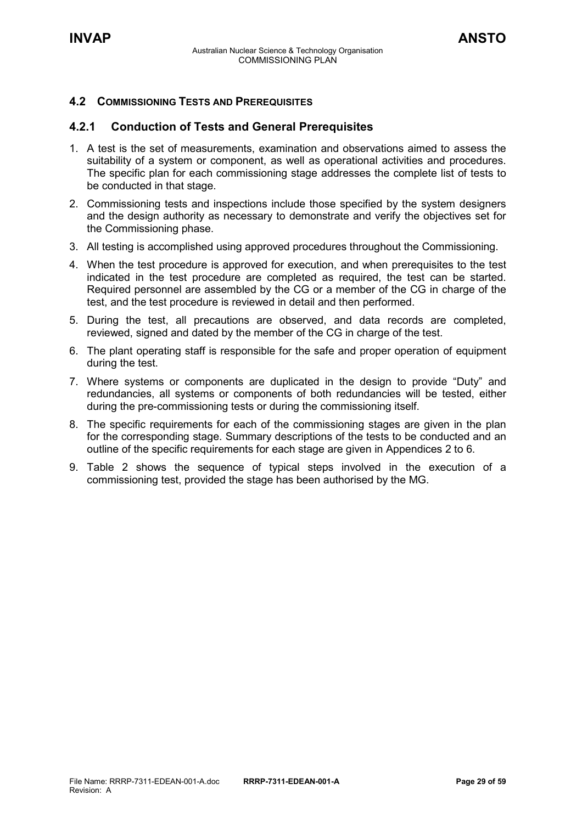### <span id="page-28-0"></span>**4.2 COMMISSIONING TESTS AND PREREQUISITES**

### <span id="page-28-1"></span>**4.2.1 Conduction of Tests and General Prerequisites**

- 1. A test is the set of measurements, examination and observations aimed to assess the suitability of a system or component, as well as operational activities and procedures. The specific plan for each commissioning stage addresses the complete list of tests to be conducted in that stage.
- 2. Commissioning tests and inspections include those specified by the system designers and the design authority as necessary to demonstrate and verify the objectives set for the Commissioning phase.
- 3. All testing is accomplished using approved procedures throughout the Commissioning.
- 4. When the test procedure is approved for execution, and when prerequisites to the test indicated in the test procedure are completed as required, the test can be started. Required personnel are assembled by the CG or a member of the CG in charge of the test, and the test procedure is reviewed in detail and then performed.
- 5. During the test, all precautions are observed, and data records are completed, reviewed, signed and dated by the member of the CG in charge of the test.
- 6. The plant operating staff is responsible for the safe and proper operation of equipment during the test.
- 7. Where systems or components are duplicated in the design to provide "Duty" and redundancies, all systems or components of both redundancies will be tested, either during the pre-commissioning tests or during the commissioning itself.
- 8. The specific requirements for each of the commissioning stages are given in the plan for the corresponding stage. Summary descriptions of the tests to be conducted and an outline of the specific requirements for each stage are given in Appendices 2 to 6.
- 9. Table 2 shows the sequence of typical steps involved in the execution of a commissioning test, provided the stage has been authorised by the MG.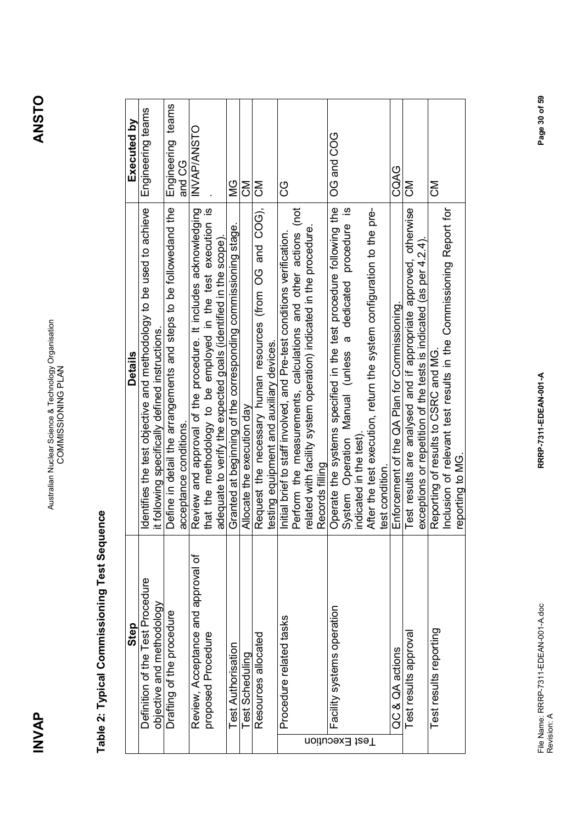**INVAP** 

| Step                                         | Details                                                                      | Executed by       |
|----------------------------------------------|------------------------------------------------------------------------------|-------------------|
| Definition of the Test Procedure             | Identifies the test objective and methodology to be used to achieve          | Engineering teams |
| objective and methodology                    | it following specifically defined instructions.                              |                   |
| Drafting of the procedure                    | Define in detail the arrangements and steps to be followedand the            | Engineering teams |
|                                              | acceptance conditions.                                                       | and CG            |
| Review, Acceptance and approval of           | Review and approval of the procedure. It includes acknowledging              | INVAP/ANSTO       |
| proposed Procedure                           | that the methodology to be employed in the test execution is                 |                   |
|                                              | adequate to verify the expected goals (identified in the scope)              |                   |
| <b>Test Authorisation</b>                    | Granted at beginning of the corresponding commissioning stage.               | <u>SM</u>         |
| <b>Test Scheduling</b>                       | Allocate the execution day                                                   | ξ                 |
| Resources allocated                          | Request the necessary human resources (from OG and COG),                     | ξ                 |
|                                              | testing equipment and auxiliary devices.                                     |                   |
| Procedure related tasks                      | Initial brief to staff involved, and Pre-test conditions verification.       | ပ္ပ               |
|                                              | Perform the measurements, calculations and other actions (not                |                   |
|                                              | related with facility system operation) indicated in the procedure.          |                   |
|                                              | Records filling                                                              |                   |
| Facility systems operation<br>Test Execution | Operate the systems specified in the test procedure following the            | <b>OG and COG</b> |
|                                              | $\overline{\omega}$<br>System Operation Manual (unless a dedicated procedure |                   |
|                                              | indicated in the test)                                                       |                   |
|                                              | After the test execution, return the system configuration to the pre-        |                   |
|                                              | test condition.                                                              |                   |
| QC & QA actions                              | Enforcement of the QA Plan for Commissioning.                                | CQAG              |
| Test results approval                        | Test results are analysed and if appropriate approved, otherwise             | ŠΣ                |
|                                              | exceptions or repetition of the tests is indicated (as per 4.2.4).           |                   |
| Test results reporting                       | Reporting of results to CSRC and MG.                                         | ξ                 |
|                                              | Inclusion of relevant test results in the Commissioning Report for           |                   |
|                                              | reporting to MG.                                                             |                   |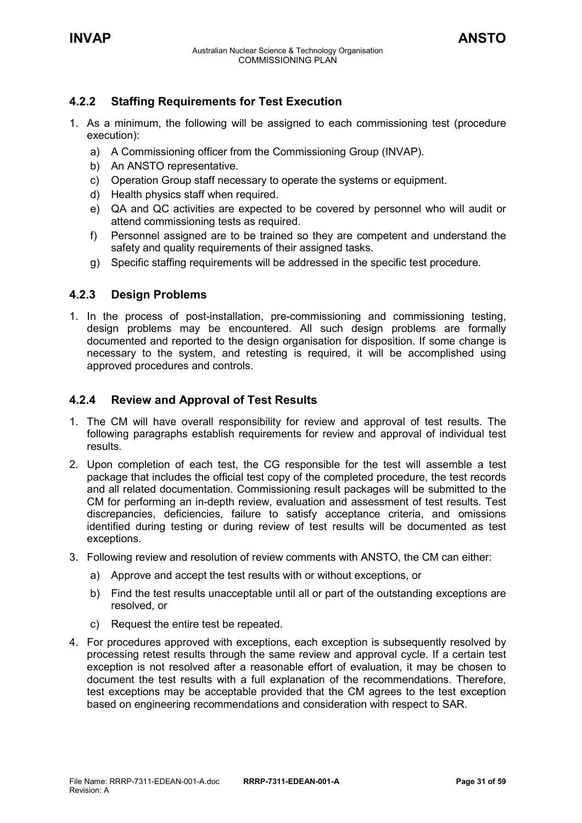### <span id="page-30-0"></span>**4.2.2 Staffing Requirements for Test Execution**

- 1. As a minimum, the following will be assigned to each commissioning test (procedure execution):
	- a) A Commissioning officer from the Commissioning Group (INVAP).
	- b) An ANSTO representative.
	- c) Operation Group staff necessary to operate the systems or equipment.
	- d) Health physics staff when required.
	- e) QA and QC activities are expected to be covered by personnel who will audit or attend commissioning tests as required.
	- f) Personnel assigned are to be trained so they are competent and understand the safety and quality requirements of their assigned tasks.
	- g) Specific staffing requirements will be addressed in the specific test procedure.

### <span id="page-30-1"></span>**4.2.3 Design Problems**

1. In the process of post-installation, pre-commissioning and commissioning testing, design problems may be encountered. All such design problems are formally documented and reported to the design organisation for disposition. If some change is necessary to the system, and retesting is required, it will be accomplished using approved procedures and controls.

### <span id="page-30-2"></span>**4.2.4 Review and Approval of Test Results**

- 1. The CM will have overall responsibility for review and approval of test results. The following paragraphs establish requirements for review and approval of individual test results.
- 2. Upon completion of each test, the CG responsible for the test will assemble a test package that includes the official test copy of the completed procedure, the test records and all related documentation. Commissioning result packages will be submitted to the CM for performing an in-depth review, evaluation and assessment of test results. Test discrepancies, deficiencies, failure to satisfy acceptance criteria, and omissions identified during testing or during review of test results will be documented as test exceptions.
- 3. Following review and resolution of review comments with ANSTO, the CM can either:
	- a) Approve and accept the test results with or without exceptions, or
	- b) Find the test results unacceptable until all or part of the outstanding exceptions are resolved, or
	- c) Request the entire test be repeated.
- 4. For procedures approved with exceptions, each exception is subsequently resolved by processing retest results through the same review and approval cycle. If a certain test exception is not resolved after a reasonable effort of evaluation, it may be chosen to document the test results with a full explanation of the recommendations. Therefore, test exceptions may be acceptable provided that the CM agrees to the test exception based on engineering recommendations and consideration with respect to SAR.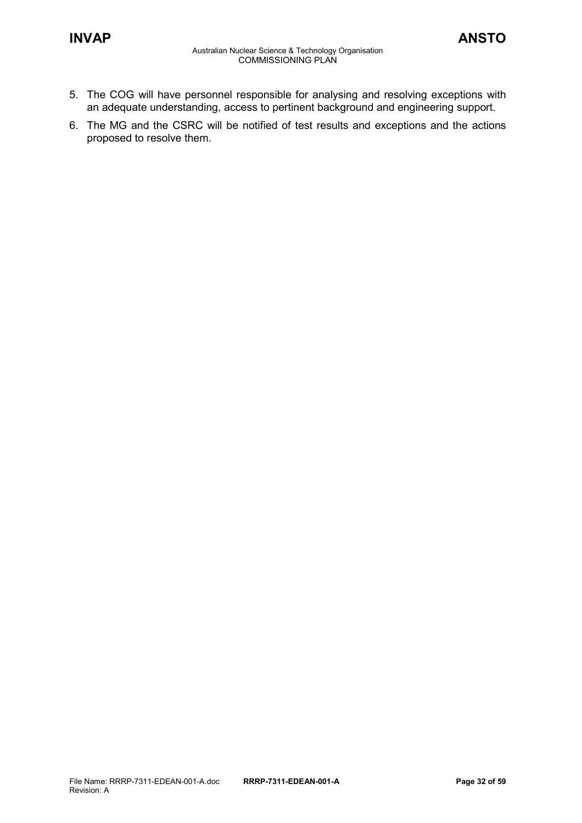- 5. The COG will have personnel responsible for analysing and resolving exceptions with an adequate understanding, access to pertinent background and engineering support.
- 6. The MG and the CSRC will be notified of test results and exceptions and the actions proposed to resolve them.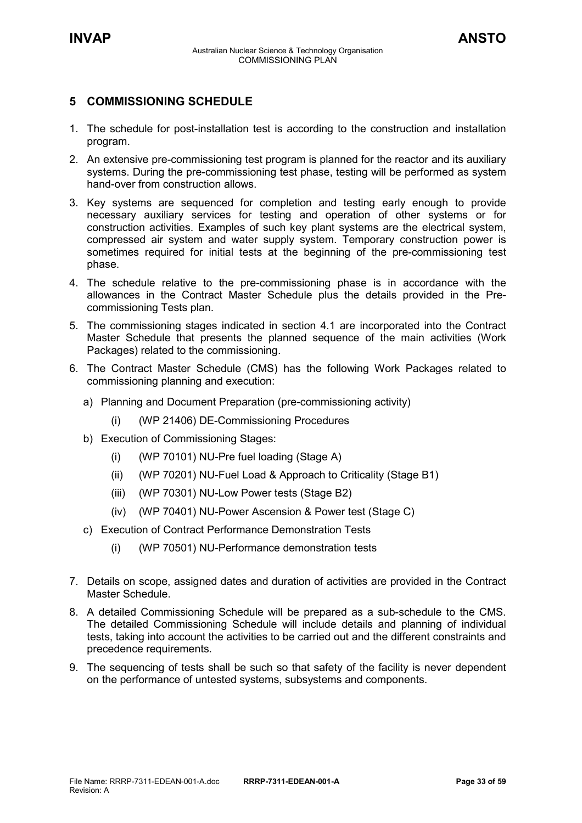### <span id="page-32-0"></span>**5 COMMISSIONING SCHEDULE**

- 1. The schedule for post-installation test is according to the construction and installation program.
- 2. An extensive pre-commissioning test program is planned for the reactor and its auxiliary systems. During the pre-commissioning test phase, testing will be performed as system hand-over from construction allows.
- 3. Key systems are sequenced for completion and testing early enough to provide necessary auxiliary services for testing and operation of other systems or for construction activities. Examples of such key plant systems are the electrical system, compressed air system and water supply system. Temporary construction power is sometimes required for initial tests at the beginning of the pre-commissioning test phase.
- 4. The schedule relative to the pre-commissioning phase is in accordance with the allowances in the Contract Master Schedule plus the details provided in the Precommissioning Tests plan.
- 5. The commissioning stages indicated in section 4.1 are incorporated into the Contract Master Schedule that presents the planned sequence of the main activities (Work Packages) related to the commissioning.
- 6. The Contract Master Schedule (CMS) has the following Work Packages related to commissioning planning and execution:
	- a) Planning and Document Preparation (pre-commissioning activity)
		- (i) (WP 21406) DE-Commissioning Procedures
	- b) Execution of Commissioning Stages:
		- (i) (WP 70101) NU-Pre fuel loading (Stage A)
		- (ii) (WP 70201) NU-Fuel Load & Approach to Criticality (Stage B1)
		- (iii) (WP 70301) NU-Low Power tests (Stage B2)
		- (iv) (WP 70401) NU-Power Ascension & Power test (Stage C)
	- c) Execution of Contract Performance Demonstration Tests
		- (i) (WP 70501) NU-Performance demonstration tests
- 7. Details on scope, assigned dates and duration of activities are provided in the Contract Master Schedule.
- 8. A detailed Commissioning Schedule will be prepared as a sub-schedule to the CMS. The detailed Commissioning Schedule will include details and planning of individual tests, taking into account the activities to be carried out and the different constraints and precedence requirements.
- 9. The sequencing of tests shall be such so that safety of the facility is never dependent on the performance of untested systems, subsystems and components.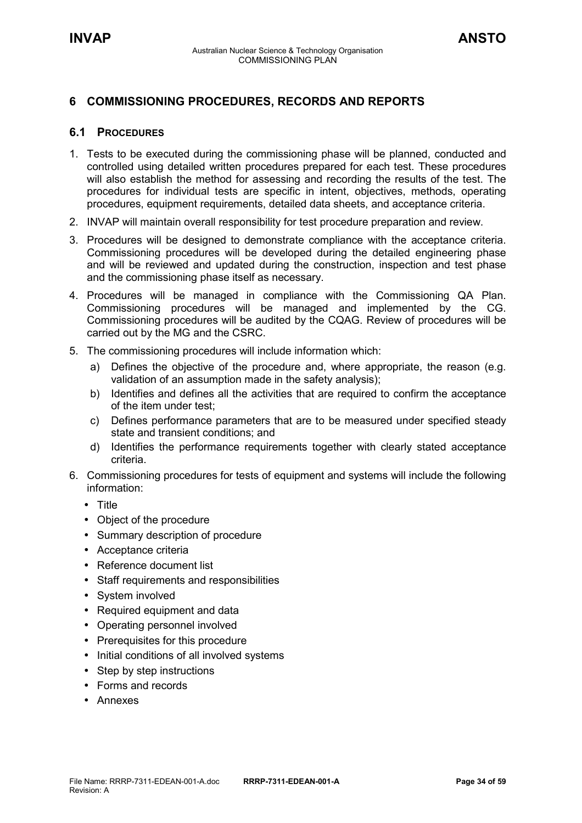### <span id="page-33-0"></span>**6 COMMISSIONING PROCEDURES, RECORDS AND REPORTS**

### <span id="page-33-1"></span>**6.1 PROCEDURES**

- 1. Tests to be executed during the commissioning phase will be planned, conducted and controlled using detailed written procedures prepared for each test. These procedures will also establish the method for assessing and recording the results of the test. The procedures for individual tests are specific in intent, objectives, methods, operating procedures, equipment requirements, detailed data sheets, and acceptance criteria.
- 2. INVAP will maintain overall responsibility for test procedure preparation and review.
- 3. Procedures will be designed to demonstrate compliance with the acceptance criteria. Commissioning procedures will be developed during the detailed engineering phase and will be reviewed and updated during the construction, inspection and test phase and the commissioning phase itself as necessary.
- 4. Procedures will be managed in compliance with the Commissioning QA Plan. Commissioning procedures will be managed and implemented by the CG. Commissioning procedures will be audited by the CQAG. Review of procedures will be carried out by the MG and the CSRC.
- 5. The commissioning procedures will include information which:
	- a) Defines the objective of the procedure and, where appropriate, the reason (e.g. validation of an assumption made in the safety analysis);
	- b) Identifies and defines all the activities that are required to confirm the acceptance of the item under test;
	- c) Defines performance parameters that are to be measured under specified steady state and transient conditions; and
	- d) Identifies the performance requirements together with clearly stated acceptance criteria.
- 6. Commissioning procedures for tests of equipment and systems will include the following information:
	- Title
	- Object of the procedure
	- Summary description of procedure
	- Acceptance criteria
	- Reference document list
	- Staff requirements and responsibilities
	- System involved
	- Required equipment and data
	- Operating personnel involved
	- Prerequisites for this procedure
	- Initial conditions of all involved systems
	- Step by step instructions
	- Forms and records
	- Annexes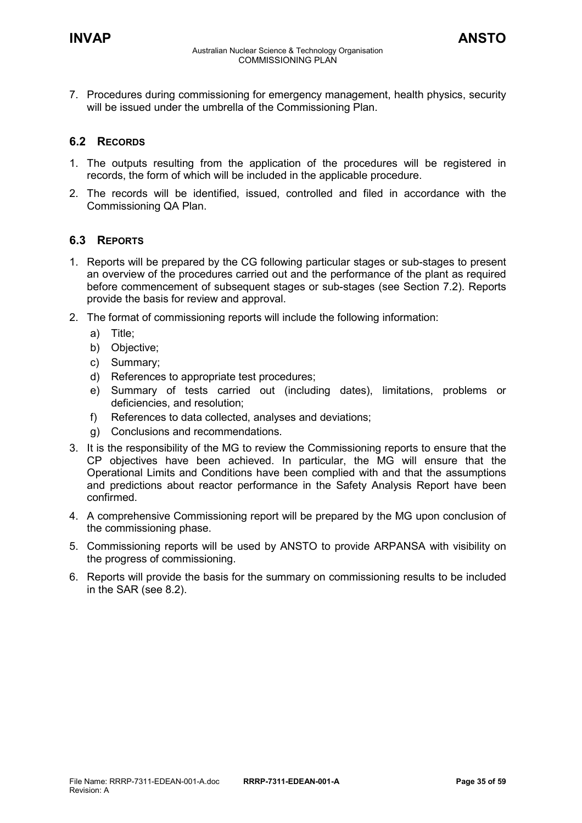7. Procedures during commissioning for emergency management, health physics, security will be issued under the umbrella of the Commissioning Plan.

### <span id="page-34-0"></span>**6.2 RECORDS**

- 1. The outputs resulting from the application of the procedures will be registered in records, the form of which will be included in the applicable procedure.
- 2. The records will be identified, issued, controlled and filed in accordance with the Commissioning QA Plan.

### <span id="page-34-1"></span>**6.3 REPORTS**

- 1. Reports will be prepared by the CG following particular stages or sub-stages to present an overview of the procedures carried out and the performance of the plant as required before commencement of subsequent stages or sub-stages (see Section 7.2). Reports provide the basis for review and approval.
- 2. The format of commissioning reports will include the following information:
	- a) Title;
	- b) Objective;
	- c) Summary;
	- d) References to appropriate test procedures;
	- e) Summary of tests carried out (including dates), limitations, problems or deficiencies, and resolution;
	- f) References to data collected, analyses and deviations;
	- g) Conclusions and recommendations.
- 3. It is the responsibility of the MG to review the Commissioning reports to ensure that the CP objectives have been achieved. In particular, the MG will ensure that the Operational Limits and Conditions have been complied with and that the assumptions and predictions about reactor performance in the Safety Analysis Report have been confirmed.
- 4. A comprehensive Commissioning report will be prepared by the MG upon conclusion of the commissioning phase.
- 5. Commissioning reports will be used by ANSTO to provide ARPANSA with visibility on the progress of commissioning.
- 6. Reports will provide the basis for the summary on commissioning results to be included in the SAR (see 8.2).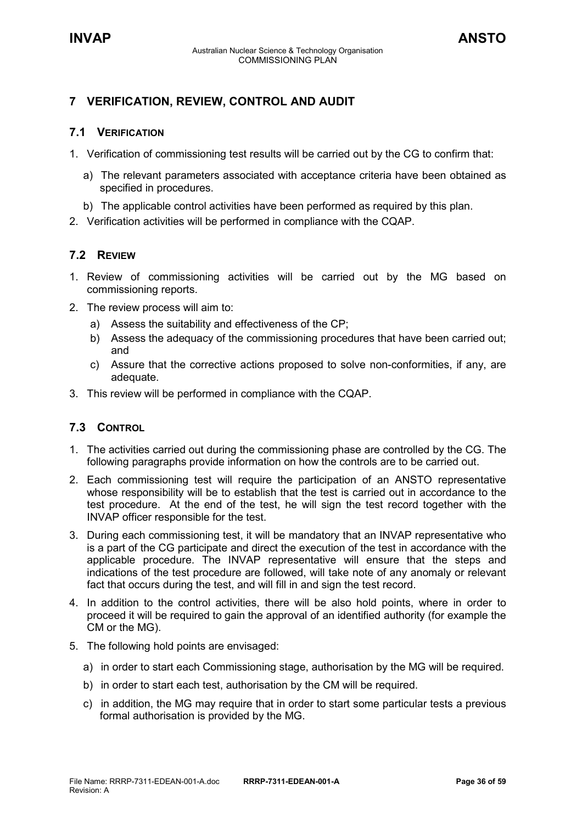### <span id="page-35-0"></span>**7 VERIFICATION, REVIEW, CONTROL AND AUDIT**

### <span id="page-35-1"></span>**7.1 VERIFICATION**

- 1. Verification of commissioning test results will be carried out by the CG to confirm that:
	- a) The relevant parameters associated with acceptance criteria have been obtained as specified in procedures.
	- b) The applicable control activities have been performed as required by this plan.
- 2. Verification activities will be performed in compliance with the CQAP.

### <span id="page-35-2"></span>**7.2 REVIEW**

- 1. Review of commissioning activities will be carried out by the MG based on commissioning reports.
- 2. The review process will aim to:
	- a) Assess the suitability and effectiveness of the CP;
	- b) Assess the adequacy of the commissioning procedures that have been carried out; and
	- c) Assure that the corrective actions proposed to solve non-conformities, if any, are adequate.
- 3. This review will be performed in compliance with the CQAP.

### <span id="page-35-3"></span>**7.3 CONTROL**

- 1. The activities carried out during the commissioning phase are controlled by the CG. The following paragraphs provide information on how the controls are to be carried out.
- 2. Each commissioning test will require the participation of an ANSTO representative whose responsibility will be to establish that the test is carried out in accordance to the test procedure. At the end of the test, he will sign the test record together with the INVAP officer responsible for the test.
- 3. During each commissioning test, it will be mandatory that an INVAP representative who is a part of the CG participate and direct the execution of the test in accordance with the applicable procedure. The INVAP representative will ensure that the steps and indications of the test procedure are followed, will take note of any anomaly or relevant fact that occurs during the test, and will fill in and sign the test record.
- 4. In addition to the control activities, there will be also hold points, where in order to proceed it will be required to gain the approval of an identified authority (for example the CM or the MG).
- 5. The following hold points are envisaged:
	- a) in order to start each Commissioning stage, authorisation by the MG will be required.
	- b) in order to start each test, authorisation by the CM will be required.
	- c) in addition, the MG may require that in order to start some particular tests a previous formal authorisation is provided by the MG.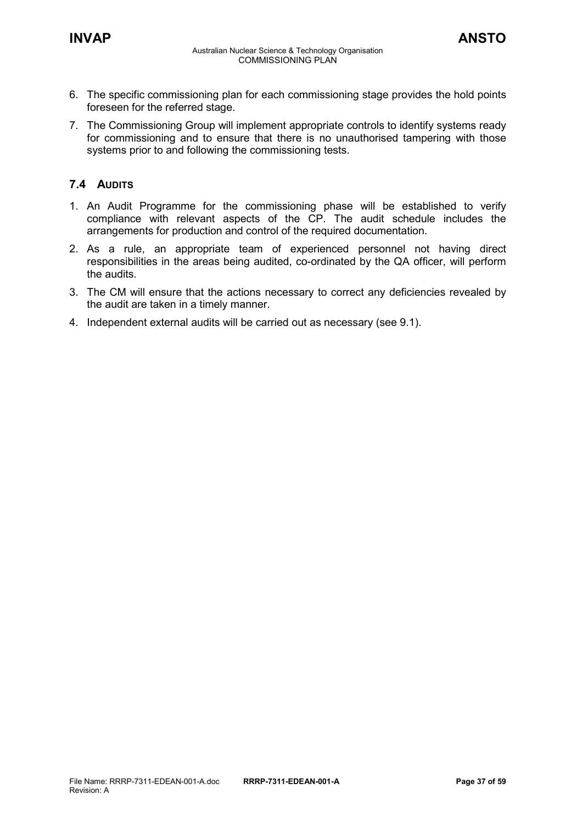- 6. The specific commissioning plan for each commissioning stage provides the hold points foreseen for the referred stage.
- 7. The Commissioning Group will implement appropriate controls to identify systems ready for commissioning and to ensure that there is no unauthorised tampering with those systems prior to and following the commissioning tests.

### <span id="page-36-0"></span>**7.4 AUDITS**

- 1. An Audit Programme for the commissioning phase will be established to verify compliance with relevant aspects of the CP. The audit schedule includes the arrangements for production and control of the required documentation.
- 2. As a rule, an appropriate team of experienced personnel not having direct responsibilities in the areas being audited, co-ordinated by the QA officer, will perform the audits.
- 3. The CM will ensure that the actions necessary to correct any deficiencies revealed by the audit are taken in a timely manner.
- 4. Independent external audits will be carried out as necessary (see 9.1).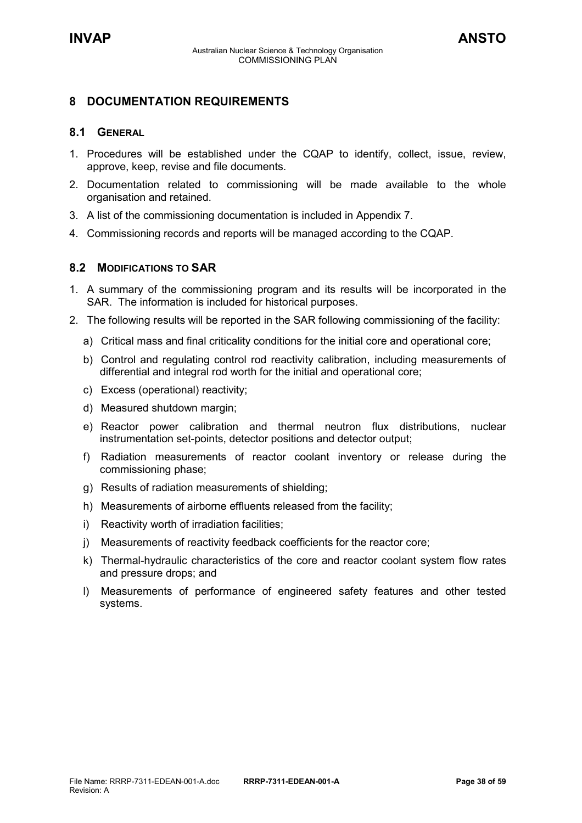### <span id="page-37-0"></span>**8 DOCUMENTATION REQUIREMENTS**

### <span id="page-37-1"></span>**8.1 GENERAL**

- 1. Procedures will be established under the CQAP to identify, collect, issue, review, approve, keep, revise and file documents.
- 2. Documentation related to commissioning will be made available to the whole organisation and retained.
- 3. A list of the commissioning documentation is included in Appendix 7.
- 4. Commissioning records and reports will be managed according to the CQAP.

### <span id="page-37-2"></span>**8.2 MODIFICATIONS TO SAR**

- 1. A summary of the commissioning program and its results will be incorporated in the SAR. The information is included for historical purposes.
- 2. The following results will be reported in the SAR following commissioning of the facility:
	- a) Critical mass and final criticality conditions for the initial core and operational core;
	- b) Control and regulating control rod reactivity calibration, including measurements of differential and integral rod worth for the initial and operational core;
	- c) Excess (operational) reactivity;
	- d) Measured shutdown margin;
	- e) Reactor power calibration and thermal neutron flux distributions, nuclear instrumentation set-points, detector positions and detector output;
	- f) Radiation measurements of reactor coolant inventory or release during the commissioning phase;
	- g) Results of radiation measurements of shielding;
	- h) Measurements of airborne effluents released from the facility;
	- i) Reactivity worth of irradiation facilities;
	- j) Measurements of reactivity feedback coefficients for the reactor core;
	- k) Thermal-hydraulic characteristics of the core and reactor coolant system flow rates and pressure drops; and
	- l) Measurements of performance of engineered safety features and other tested systems.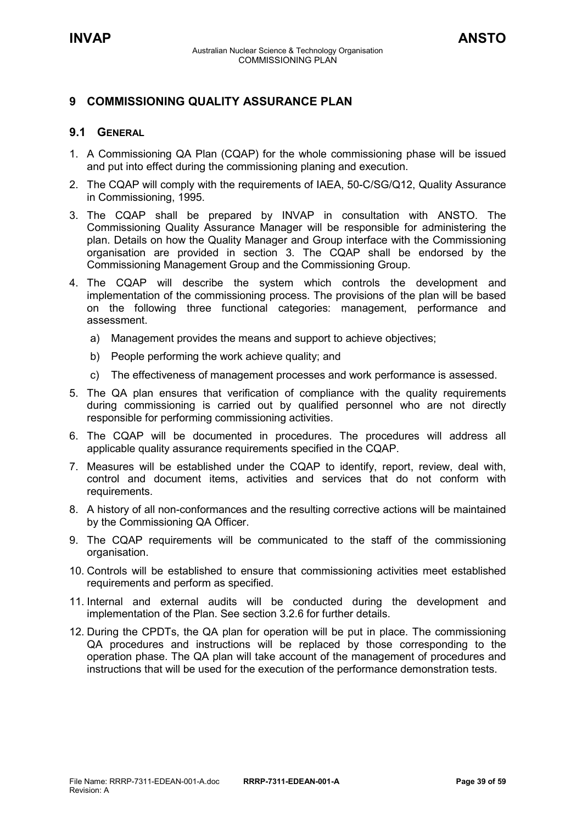### <span id="page-38-0"></span>**9 COMMISSIONING QUALITY ASSURANCE PLAN**

### <span id="page-38-1"></span>**9.1 GENERAL**

- 1. A Commissioning QA Plan (CQAP) for the whole commissioning phase will be issued and put into effect during the commissioning planing and execution.
- 2. The CQAP will comply with the requirements of IAEA, 50-C/SG/Q12, Quality Assurance in Commissioning, 1995.
- 3. The CQAP shall be prepared by INVAP in consultation with ANSTO. The Commissioning Quality Assurance Manager will be responsible for administering the plan. Details on how the Quality Manager and Group interface with the Commissioning organisation are provided in section 3. The CQAP shall be endorsed by the Commissioning Management Group and the Commissioning Group.
- 4. The CQAP will describe the system which controls the development and implementation of the commissioning process. The provisions of the plan will be based on the following three functional categories: management, performance and assessment.
	- a) Management provides the means and support to achieve objectives;
	- b) People performing the work achieve quality; and
	- c) The effectiveness of management processes and work performance is assessed.
- 5. The QA plan ensures that verification of compliance with the quality requirements during commissioning is carried out by qualified personnel who are not directly responsible for performing commissioning activities.
- 6. The CQAP will be documented in procedures. The procedures will address all applicable quality assurance requirements specified in the CQAP.
- 7. Measures will be established under the CQAP to identify, report, review, deal with, control and document items, activities and services that do not conform with requirements.
- 8. A history of all non-conformances and the resulting corrective actions will be maintained by the Commissioning QA Officer.
- 9. The CQAP requirements will be communicated to the staff of the commissioning organisation.
- 10. Controls will be established to ensure that commissioning activities meet established requirements and perform as specified.
- 11. Internal and external audits will be conducted during the development and implementation of the Plan. See section 3.2.6 for further details.
- 12. During the CPDTs, the QA plan for operation will be put in place. The commissioning QA procedures and instructions will be replaced by those corresponding to the operation phase. The QA plan will take account of the management of procedures and instructions that will be used for the execution of the performance demonstration tests.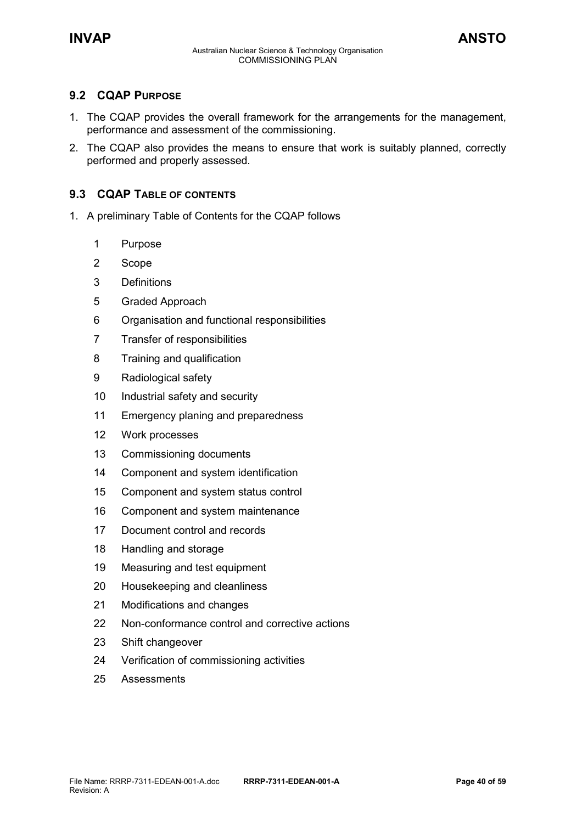### <span id="page-39-0"></span>**9.2 CQAP PURPOSE**

- 1. The CQAP provides the overall framework for the arrangements for the management, performance and assessment of the commissioning.
- 2. The CQAP also provides the means to ensure that work is suitably planned, correctly performed and properly assessed.

### <span id="page-39-1"></span>**9.3 CQAP TABLE OF CONTENTS**

- 1. A preliminary Table of Contents for the CQAP follows
	- Purpose
	- Scope
	- Definitions
	- Graded Approach
	- Organisation and functional responsibilities
	- Transfer of responsibilities
	- Training and qualification
	- Radiological safety
	- Industrial safety and security
	- Emergency planing and preparedness
	- Work processes
	- Commissioning documents
	- Component and system identification
	- Component and system status control
	- Component and system maintenance
	- Document control and records
	- Handling and storage
	- Measuring and test equipment
	- Housekeeping and cleanliness
	- Modifications and changes
	- Non-conformance control and corrective actions
	- Shift changeover
	- Verification of commissioning activities
	- 25 Assessments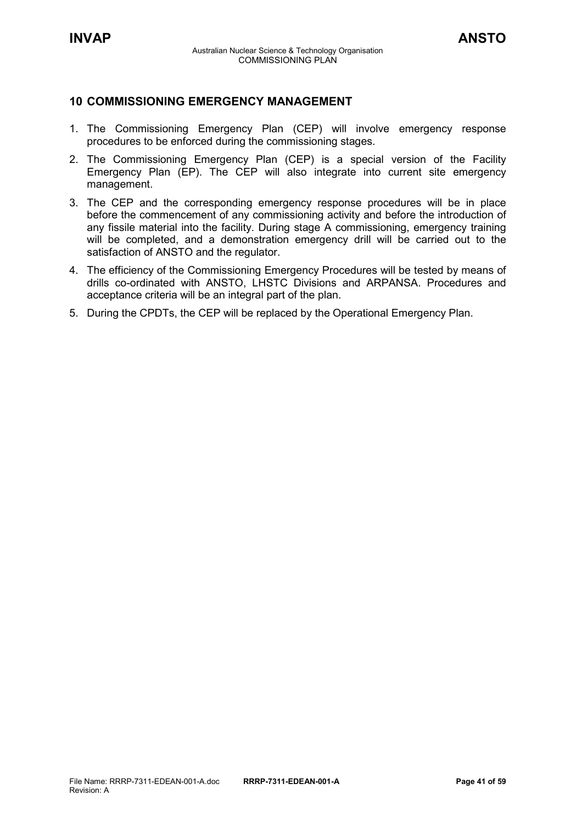### <span id="page-40-0"></span>**10 COMMISSIONING EMERGENCY MANAGEMENT**

- 1. The Commissioning Emergency Plan (CEP) will involve emergency response procedures to be enforced during the commissioning stages.
- 2. The Commissioning Emergency Plan (CEP) is a special version of the Facility Emergency Plan (EP). The CEP will also integrate into current site emergency management.
- 3. The CEP and the corresponding emergency response procedures will be in place before the commencement of any commissioning activity and before the introduction of any fissile material into the facility. During stage A commissioning, emergency training will be completed, and a demonstration emergency drill will be carried out to the satisfaction of ANSTO and the regulator.
- 4. The efficiency of the Commissioning Emergency Procedures will be tested by means of drills co-ordinated with ANSTO, LHSTC Divisions and ARPANSA. Procedures and acceptance criteria will be an integral part of the plan.
- 5. During the CPDTs, the CEP will be replaced by the Operational Emergency Plan.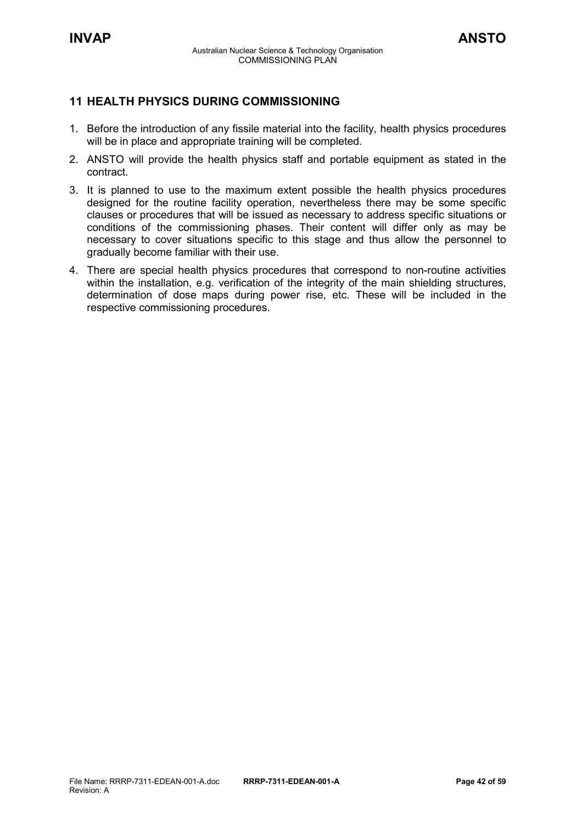### <span id="page-41-0"></span>**11 HEALTH PHYSICS DURING COMMISSIONING**

- 1. Before the introduction of any fissile material into the facility, health physics procedures will be in place and appropriate training will be completed.
- 2. ANSTO will provide the health physics staff and portable equipment as stated in the contract.
- 3. It is planned to use to the maximum extent possible the health physics procedures designed for the routine facility operation, nevertheless there may be some specific clauses or procedures that will be issued as necessary to address specific situations or conditions of the commissioning phases. Their content will differ only as may be necessary to cover situations specific to this stage and thus allow the personnel to gradually become familiar with their use.
- 4. There are special health physics procedures that correspond to non-routine activities within the installation, e.g. verification of the integrity of the main shielding structures, determination of dose maps during power rise, etc. These will be included in the respective commissioning procedures.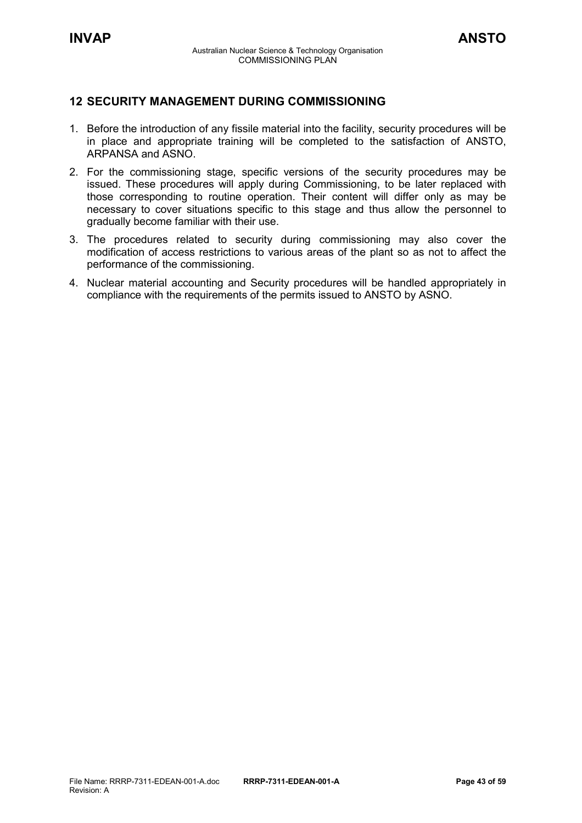### <span id="page-42-0"></span>**12 SECURITY MANAGEMENT DURING COMMISSIONING**

- 1. Before the introduction of any fissile material into the facility, security procedures will be in place and appropriate training will be completed to the satisfaction of ANSTO, ARPANSA and ASNO.
- 2. For the commissioning stage, specific versions of the security procedures may be issued. These procedures will apply during Commissioning, to be later replaced with those corresponding to routine operation. Their content will differ only as may be necessary to cover situations specific to this stage and thus allow the personnel to gradually become familiar with their use.
- 3. The procedures related to security during commissioning may also cover the modification of access restrictions to various areas of the plant so as not to affect the performance of the commissioning.
- 4. Nuclear material accounting and Security procedures will be handled appropriately in compliance with the requirements of the permits issued to ANSTO by ASNO.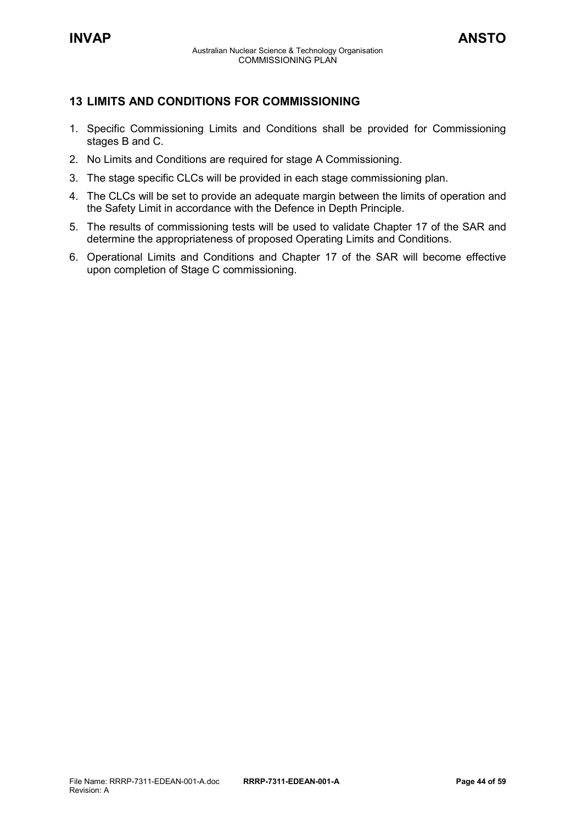### <span id="page-43-0"></span>**13 LIMITS AND CONDITIONS FOR COMMISSIONING**

- 1. Specific Commissioning Limits and Conditions shall be provided for Commissioning stages B and C.
- 2. No Limits and Conditions are required for stage A Commissioning.
- 3. The stage specific CLCs will be provided in each stage commissioning plan.
- 4. The CLCs will be set to provide an adequate margin between the limits of operation and the Safety Limit in accordance with the Defence in Depth Principle.
- 5. The results of commissioning tests will be used to validate Chapter 17 of the SAR and determine the appropriateness of proposed Operating Limits and Conditions.
- 6. Operational Limits and Conditions and Chapter 17 of the SAR will become effective upon completion of Stage C commissioning.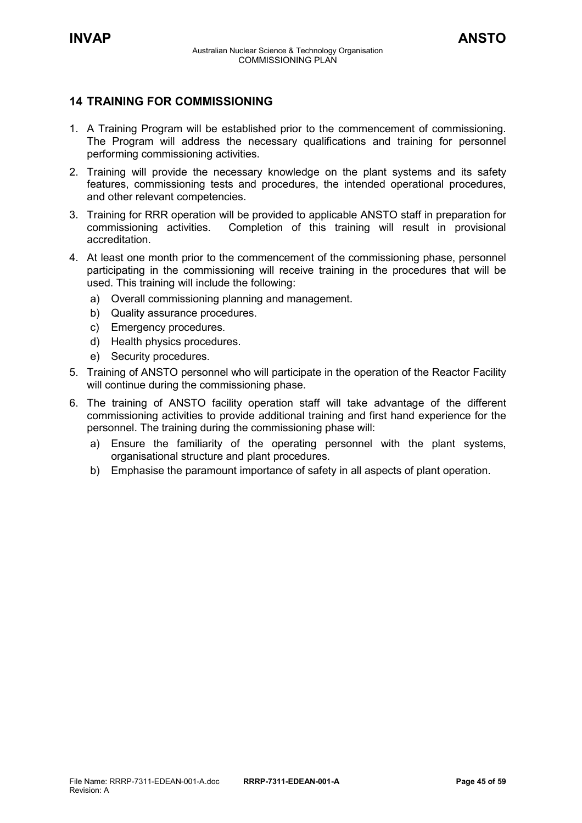### <span id="page-44-0"></span>**14 TRAINING FOR COMMISSIONING**

- 1. A Training Program will be established prior to the commencement of commissioning. The Program will address the necessary qualifications and training for personnel performing commissioning activities.
- 2. Training will provide the necessary knowledge on the plant systems and its safety features, commissioning tests and procedures, the intended operational procedures, and other relevant competencies.
- 3. Training for RRR operation will be provided to applicable ANSTO staff in preparation for commissioning activities. Completion of this training will result in provisional accreditation.
- 4. At least one month prior to the commencement of the commissioning phase, personnel participating in the commissioning will receive training in the procedures that will be used. This training will include the following:
	- a) Overall commissioning planning and management.
	- b) Quality assurance procedures.
	- c) Emergency procedures.
	- d) Health physics procedures.
	- e) Security procedures.
- 5. Training of ANSTO personnel who will participate in the operation of the Reactor Facility will continue during the commissioning phase.
- 6. The training of ANSTO facility operation staff will take advantage of the different commissioning activities to provide additional training and first hand experience for the personnel. The training during the commissioning phase will:
	- a) Ensure the familiarity of the operating personnel with the plant systems, organisational structure and plant procedures.
	- b) Emphasise the paramount importance of safety in all aspects of plant operation.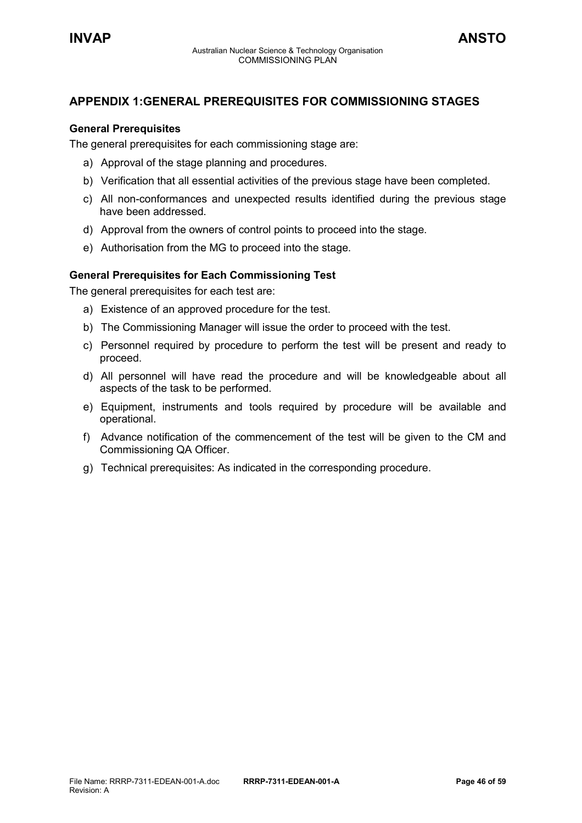### <span id="page-45-0"></span>**APPENDIX 1:GENERAL PREREQUISITES FOR COMMISSIONING STAGES**

### **General Prerequisites**

The general prerequisites for each commissioning stage are:

- a) Approval of the stage planning and procedures.
- b) Verification that all essential activities of the previous stage have been completed.
- c) All non-conformances and unexpected results identified during the previous stage have been addressed.
- d) Approval from the owners of control points to proceed into the stage.
- e) Authorisation from the MG to proceed into the stage.

### **General Prerequisites for Each Commissioning Test**

The general prerequisites for each test are:

- a) Existence of an approved procedure for the test.
- b) The Commissioning Manager will issue the order to proceed with the test.
- c) Personnel required by procedure to perform the test will be present and ready to proceed.
- d) All personnel will have read the procedure and will be knowledgeable about all aspects of the task to be performed.
- e) Equipment, instruments and tools required by procedure will be available and operational.
- f) Advance notification of the commencement of the test will be given to the CM and Commissioning QA Officer.
- g) Technical prerequisites: As indicated in the corresponding procedure.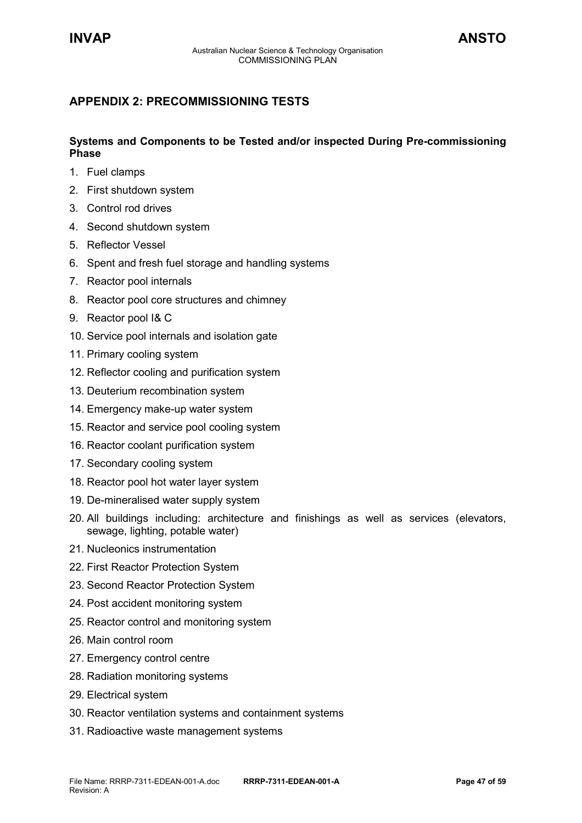### <span id="page-46-0"></span>**APPENDIX 2: PRECOMMISSIONING TESTS**

### **Systems and Components to be Tested and/or inspected During Pre-commissioning Phase**

- 1. Fuel clamps
- 2. First shutdown system
- 3. Control rod drives
- 4. Second shutdown system
- 5. Reflector Vessel
- 6. Spent and fresh fuel storage and handling systems
- 7. Reactor pool internals
- 8. Reactor pool core structures and chimney
- 9. Reactor pool I& C
- 10. Service pool internals and isolation gate
- 11. Primary cooling system
- 12. Reflector cooling and purification system
- 13. Deuterium recombination system
- 14. Emergency make-up water system
- 15. Reactor and service pool cooling system
- 16. Reactor coolant purification system
- 17. Secondary cooling system
- 18. Reactor pool hot water layer system
- 19. De-mineralised water supply system
- 20. All buildings including: architecture and finishings as well as services (elevators, sewage, lighting, potable water)
- 21. Nucleonics instrumentation
- 22. First Reactor Protection System
- 23. Second Reactor Protection System
- 24. Post accident monitoring system
- 25. Reactor control and monitoring system
- 26. Main control room
- 27. Emergency control centre
- 28. Radiation monitoring systems
- 29. Electrical system
- 30. Reactor ventilation systems and containment systems
- 31. Radioactive waste management systems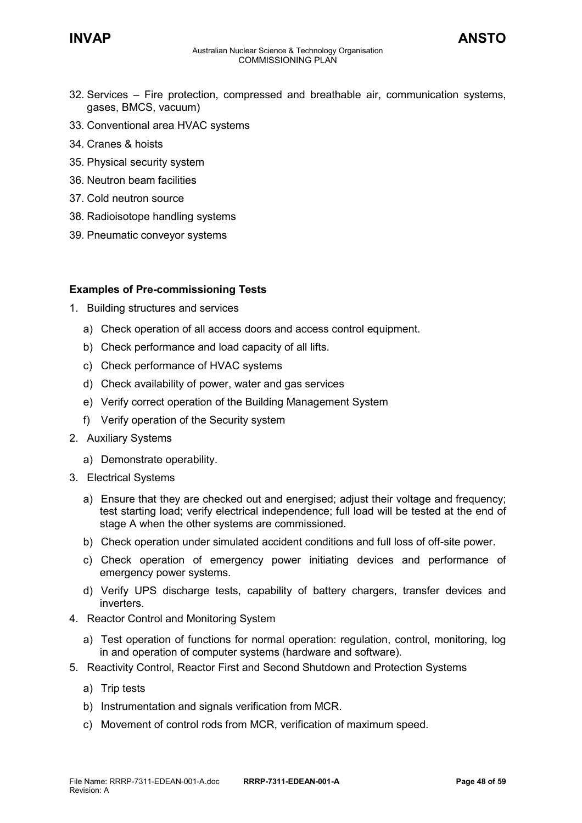### **INVAP ANSTO**

- 33. Conventional area HVAC systems
- 34. Cranes & hoists
- 35. Physical security system
- 36. Neutron beam facilities
- 37. Cold neutron source
- 38. Radioisotope handling systems
- 39. Pneumatic conveyor systems

### **Examples of Pre-commissioning Tests**

- 1. Building structures and services
	- a) Check operation of all access doors and access control equipment.
	- b) Check performance and load capacity of all lifts.
	- c) Check performance of HVAC systems
	- d) Check availability of power, water and gas services
	- e) Verify correct operation of the Building Management System
	- f) Verify operation of the Security system
- 2. Auxiliary Systems
	- a) Demonstrate operability.
- 3. Electrical Systems
	- a) Ensure that they are checked out and energised; adjust their voltage and frequency; test starting load; verify electrical independence; full load will be tested at the end of stage A when the other systems are commissioned.
	- b) Check operation under simulated accident conditions and full loss of off-site power.
	- c) Check operation of emergency power initiating devices and performance of emergency power systems.
	- d) Verify UPS discharge tests, capability of battery chargers, transfer devices and inverters.
- 4. Reactor Control and Monitoring System
	- a) Test operation of functions for normal operation: regulation, control, monitoring, log in and operation of computer systems (hardware and software).
- 5. Reactivity Control, Reactor First and Second Shutdown and Protection Systems
	- a) Trip tests
	- b) Instrumentation and signals verification from MCR.
	- c) Movement of control rods from MCR, verification of maximum speed.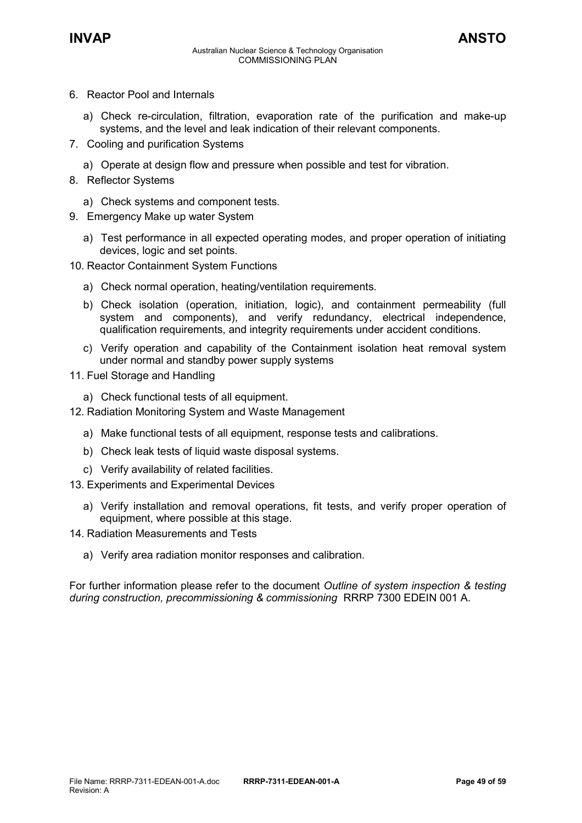- 6. Reactor Pool and Internals
	- a) Check re-circulation, filtration, evaporation rate of the purification and make-up systems, and the level and leak indication of their relevant components.
- 7. Cooling and purification Systems
	- a) Operate at design flow and pressure when possible and test for vibration.
- 8. Reflector Systems
	- a) Check systems and component tests.
- 9. Emergency Make up water System
	- a) Test performance in all expected operating modes, and proper operation of initiating devices, logic and set points.
- 10. Reactor Containment System Functions
	- a) Check normal operation, heating/ventilation requirements.
	- b) Check isolation (operation, initiation, logic), and containment permeability (full system and components), and verify redundancy, electrical independence, qualification requirements, and integrity requirements under accident conditions.
	- c) Verify operation and capability of the Containment isolation heat removal system under normal and standby power supply systems
- 11. Fuel Storage and Handling
	- a) Check functional tests of all equipment.
- 12. Radiation Monitoring System and Waste Management
	- a) Make functional tests of all equipment, response tests and calibrations.
	- b) Check leak tests of liquid waste disposal systems.
	- c) Verify availability of related facilities.
- 13. Experiments and Experimental Devices
	- a) Verify installation and removal operations, fit tests, and verify proper operation of equipment, where possible at this stage.
- 14. Radiation Measurements and Tests
	- a) Verify area radiation monitor responses and calibration.

For further information please refer to the document *Outline of system inspection & testing during construction, precommissioning & commissioning* RRRP 7300 EDEIN 001 A.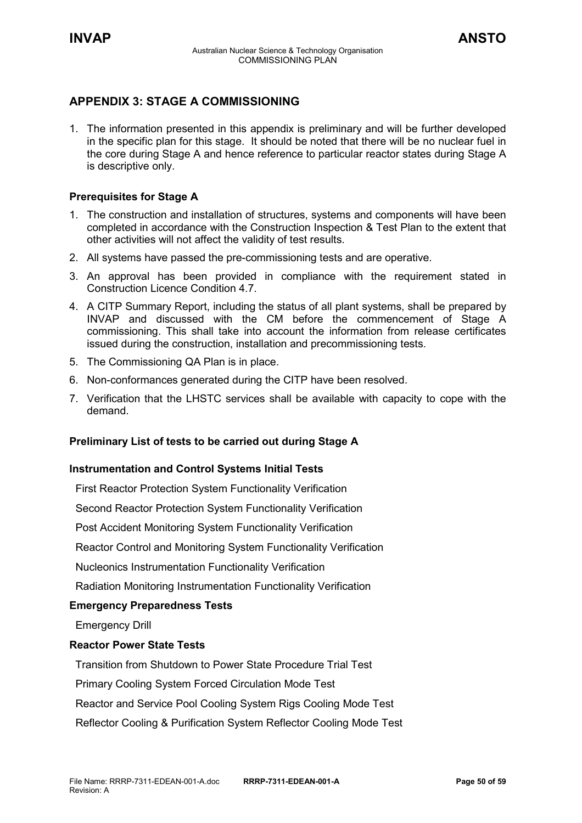### <span id="page-49-0"></span>**APPENDIX 3: STAGE A COMMISSIONING**

1. The information presented in this appendix is preliminary and will be further developed in the specific plan for this stage. It should be noted that there will be no nuclear fuel in the core during Stage A and hence reference to particular reactor states during Stage A is descriptive only.

### **Prerequisites for Stage A**

- 1. The construction and installation of structures, systems and components will have been completed in accordance with the Construction Inspection & Test Plan to the extent that other activities will not affect the validity of test results.
- 2. All systems have passed the pre-commissioning tests and are operative.
- 3. An approval has been provided in compliance with the requirement stated in Construction Licence Condition 4.7.
- 4. A CITP Summary Report, including the status of all plant systems, shall be prepared by INVAP and discussed with the CM before the commencement of Stage A commissioning. This shall take into account the information from release certificates issued during the construction, installation and precommissioning tests.
- 5. The Commissioning QA Plan is in place.
- 6. Non-conformances generated during the CITP have been resolved.
- 7. Verification that the LHSTC services shall be available with capacity to cope with the demand.

### **Preliminary List of tests to be carried out during Stage A**

### **Instrumentation and Control Systems Initial Tests**

First Reactor Protection System Functionality Verification

Second Reactor Protection System Functionality Verification

Post Accident Monitoring System Functionality Verification

Reactor Control and Monitoring System Functionality Verification

Nucleonics Instrumentation Functionality Verification

Radiation Monitoring Instrumentation Functionality Verification

### **Emergency Preparedness Tests**

Emergency Drill

### **Reactor Power State Tests**

Transition from Shutdown to Power State Procedure Trial Test

Primary Cooling System Forced Circulation Mode Test

Reactor and Service Pool Cooling System Rigs Cooling Mode Test

Reflector Cooling & Purification System Reflector Cooling Mode Test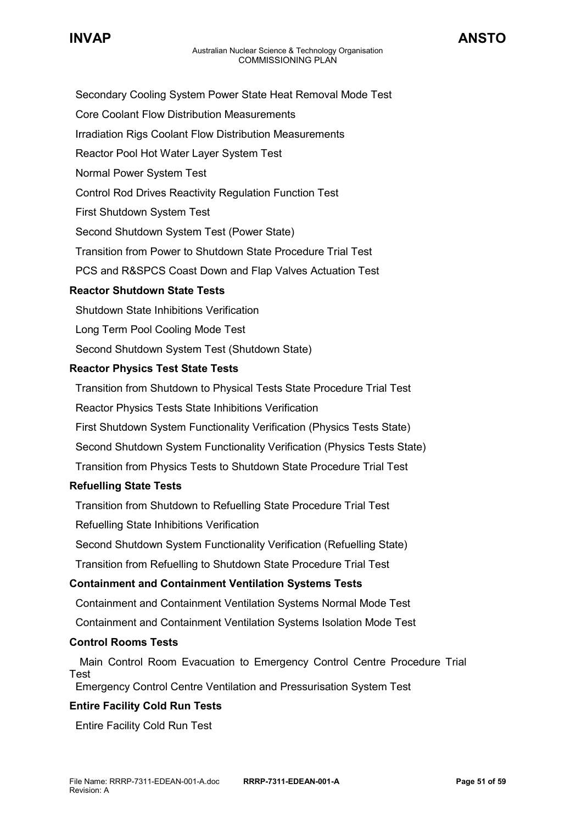- Secondary Cooling System Power State Heat Removal Mode Test
- Core Coolant Flow Distribution Measurements
- Irradiation Rigs Coolant Flow Distribution Measurements
- Reactor Pool Hot Water Layer System Test
- Normal Power System Test
- Control Rod Drives Reactivity Regulation Function Test
- First Shutdown System Test
- Second Shutdown System Test (Power State)
- Transition from Power to Shutdown State Procedure Trial Test
- PCS and R&SPCS Coast Down and Flap Valves Actuation Test

### **Reactor Shutdown State Tests**

- Shutdown State Inhibitions Verification
- Long Term Pool Cooling Mode Test
- Second Shutdown System Test (Shutdown State)

### **Reactor Physics Test State Tests**

 Transition from Shutdown to Physical Tests State Procedure Trial Test Reactor Physics Tests State Inhibitions Verification First Shutdown System Functionality Verification (Physics Tests State) Second Shutdown System Functionality Verification (Physics Tests State) Transition from Physics Tests to Shutdown State Procedure Trial Test

### **Refuelling State Tests**

 Transition from Shutdown to Refuelling State Procedure Trial Test Refuelling State Inhibitions Verification

Second Shutdown System Functionality Verification (Refuelling State)

Transition from Refuelling to Shutdown State Procedure Trial Test

### **Containment and Containment Ventilation Systems Tests**

Containment and Containment Ventilation Systems Normal Mode Test

Containment and Containment Ventilation Systems Isolation Mode Test

### **Control Rooms Tests**

 Main Control Room Evacuation to Emergency Control Centre Procedure Trial Test

Emergency Control Centre Ventilation and Pressurisation System Test

### **Entire Facility Cold Run Tests**

Entire Facility Cold Run Test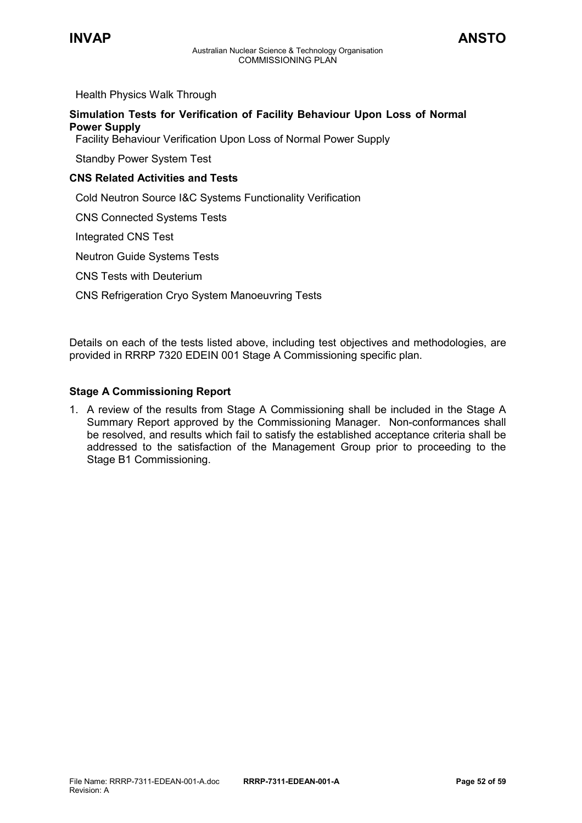Health Physics Walk Through

### **Simulation Tests for Verification of Facility Behaviour Upon Loss of Normal Power Supply**

Facility Behaviour Verification Upon Loss of Normal Power Supply

Standby Power System Test

### **CNS Related Activities and Tests**

Cold Neutron Source I&C Systems Functionality Verification

CNS Connected Systems Tests

Integrated CNS Test

Neutron Guide Systems Tests

CNS Tests with Deuterium

CNS Refrigeration Cryo System Manoeuvring Tests

Details on each of the tests listed above, including test objectives and methodologies, are provided in RRRP 7320 EDEIN 001 Stage A Commissioning specific plan.

### **Stage A Commissioning Report**

1. A review of the results from Stage A Commissioning shall be included in the Stage A Summary Report approved by the Commissioning Manager. Non-conformances shall be resolved, and results which fail to satisfy the established acceptance criteria shall be addressed to the satisfaction of the Management Group prior to proceeding to the Stage B1 Commissioning.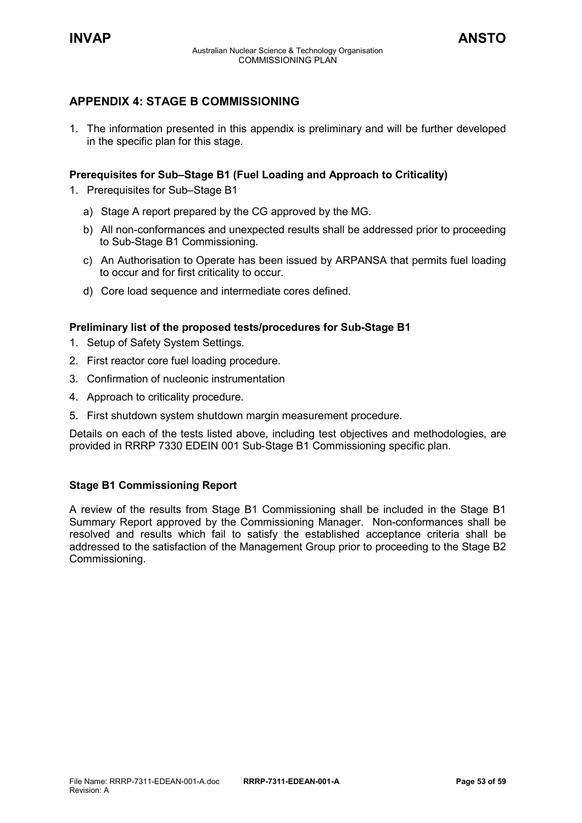### <span id="page-52-0"></span>**APPENDIX 4: STAGE B COMMISSIONING**

1. The information presented in this appendix is preliminary and will be further developed in the specific plan for this stage.

### **Prerequisites for Sub–Stage B1 (Fuel Loading and Approach to Criticality)**

- 1. Prerequisites for Sub–Stage B1
	- a) Stage A report prepared by the CG approved by the MG.
	- b) All non-conformances and unexpected results shall be addressed prior to proceeding to Sub-Stage B1 Commissioning.
	- c) An Authorisation to Operate has been issued by ARPANSA that permits fuel loading to occur and for first criticality to occur.
	- d) Core load sequence and intermediate cores defined.

### **Preliminary list of the proposed tests/procedures for Sub-Stage B1**

- 1. Setup of Safety System Settings.
- 2. First reactor core fuel loading procedure.
- 3. Confirmation of nucleonic instrumentation
- 4. Approach to criticality procedure.
- 5. First shutdown system shutdown margin measurement procedure.

Details on each of the tests listed above, including test objectives and methodologies, are provided in RRRP 7330 EDEIN 001 Sub-Stage B1 Commissioning specific plan.

### **Stage B1 Commissioning Report**

A review of the results from Stage B1 Commissioning shall be included in the Stage B1 Summary Report approved by the Commissioning Manager. Non-conformances shall be resolved and results which fail to satisfy the established acceptance criteria shall be addressed to the satisfaction of the Management Group prior to proceeding to the Stage B2 Commissioning.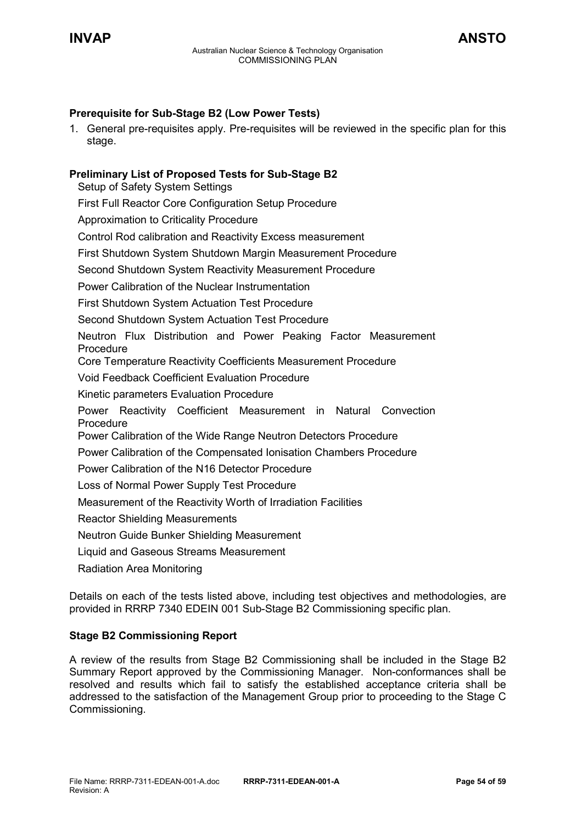### **Prerequisite for Sub-Stage B2 (Low Power Tests)**

1. General pre-requisites apply. Pre-requisites will be reviewed in the specific plan for this stage.

### **Preliminary List of Proposed Tests for Sub-Stage B2**

Setup of Safety System Settings

First Full Reactor Core Configuration Setup Procedure

Approximation to Criticality Procedure

Control Rod calibration and Reactivity Excess measurement

First Shutdown System Shutdown Margin Measurement Procedure

Second Shutdown System Reactivity Measurement Procedure

Power Calibration of the Nuclear Instrumentation

First Shutdown System Actuation Test Procedure

Second Shutdown System Actuation Test Procedure

Neutron Flux Distribution and Power Peaking Factor Measurement Procedure

Core Temperature Reactivity Coefficients Measurement Procedure

Void Feedback Coefficient Evaluation Procedure

Kinetic parameters Evaluation Procedure

Power Reactivity Coefficient Measurement in Natural Convection Procedure

Power Calibration of the Wide Range Neutron Detectors Procedure

Power Calibration of the Compensated Ionisation Chambers Procedure

Power Calibration of the N16 Detector Procedure

Loss of Normal Power Supply Test Procedure

Measurement of the Reactivity Worth of Irradiation Facilities

Reactor Shielding Measurements

Neutron Guide Bunker Shielding Measurement

Liquid and Gaseous Streams Measurement

Radiation Area Monitoring

Details on each of the tests listed above, including test objectives and methodologies, are provided in RRRP 7340 EDEIN 001 Sub-Stage B2 Commissioning specific plan.

### **Stage B2 Commissioning Report**

A review of the results from Stage B2 Commissioning shall be included in the Stage B2 Summary Report approved by the Commissioning Manager. Non-conformances shall be resolved and results which fail to satisfy the established acceptance criteria shall be addressed to the satisfaction of the Management Group prior to proceeding to the Stage C Commissioning.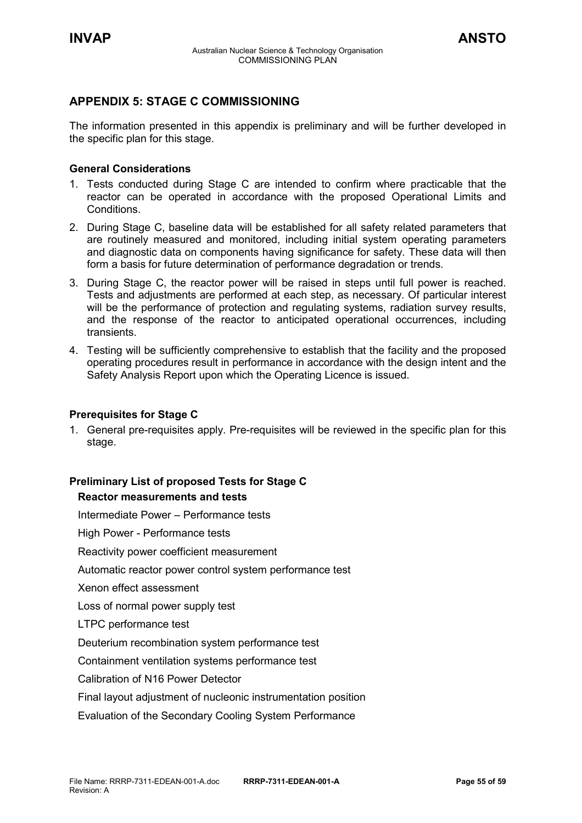### <span id="page-54-0"></span>**APPENDIX 5: STAGE C COMMISSIONING**

The information presented in this appendix is preliminary and will be further developed in the specific plan for this stage.

### **General Considerations**

- 1. Tests conducted during Stage C are intended to confirm where practicable that the reactor can be operated in accordance with the proposed Operational Limits and Conditions.
- 2. During Stage C, baseline data will be established for all safety related parameters that are routinely measured and monitored, including initial system operating parameters and diagnostic data on components having significance for safety. These data will then form a basis for future determination of performance degradation or trends.
- 3. During Stage C, the reactor power will be raised in steps until full power is reached. Tests and adjustments are performed at each step, as necessary. Of particular interest will be the performance of protection and regulating systems, radiation survey results, and the response of the reactor to anticipated operational occurrences, including transients.
- 4. Testing will be sufficiently comprehensive to establish that the facility and the proposed operating procedures result in performance in accordance with the design intent and the Safety Analysis Report upon which the Operating Licence is issued.

### **Prerequisites for Stage C**

1. General pre-requisites apply. Pre-requisites will be reviewed in the specific plan for this stage.

### **Preliminary List of proposed Tests for Stage C**

### **Reactor measurements and tests**

Intermediate Power – Performance tests

High Power - Performance tests

Reactivity power coefficient measurement

Automatic reactor power control system performance test

Xenon effect assessment

Loss of normal power supply test

LTPC performance test

Deuterium recombination system performance test

Containment ventilation systems performance test

Calibration of N16 Power Detector

Final layout adjustment of nucleonic instrumentation position

Evaluation of the Secondary Cooling System Performance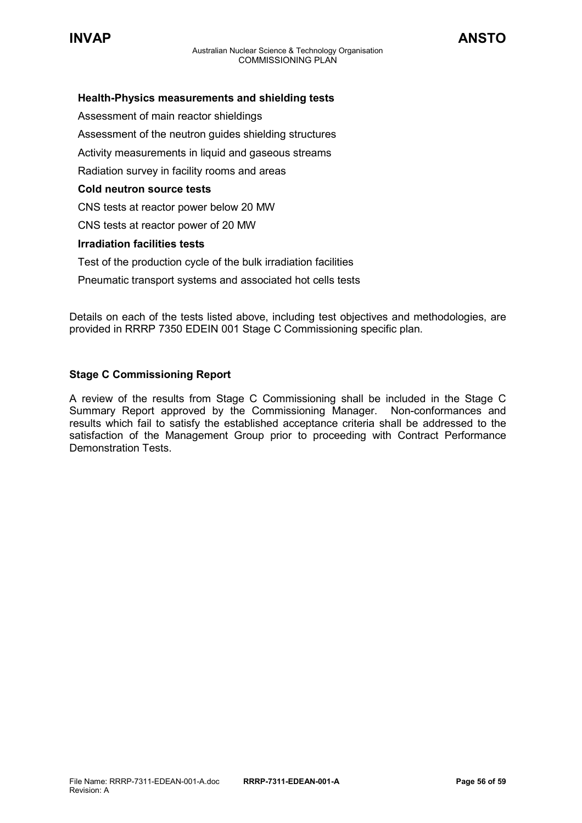

### **Health-Physics measurements and shielding tests**

Assessment of main reactor shieldings Assessment of the neutron guides shielding structures Activity measurements in liquid and gaseous streams Radiation survey in facility rooms and areas **Cold neutron source tests** CNS tests at reactor power below 20 MW CNS tests at reactor power of 20 MW **Irradiation facilities tests** Test of the production cycle of the bulk irradiation facilities Pneumatic transport systems and associated hot cells tests

Details on each of the tests listed above, including test objectives and methodologies, are provided in RRRP 7350 EDEIN 001 Stage C Commissioning specific plan.

### **Stage C Commissioning Report**

A review of the results from Stage C Commissioning shall be included in the Stage C Summary Report approved by the Commissioning Manager. Non-conformances and results which fail to satisfy the established acceptance criteria shall be addressed to the satisfaction of the Management Group prior to proceeding with Contract Performance Demonstration Tests.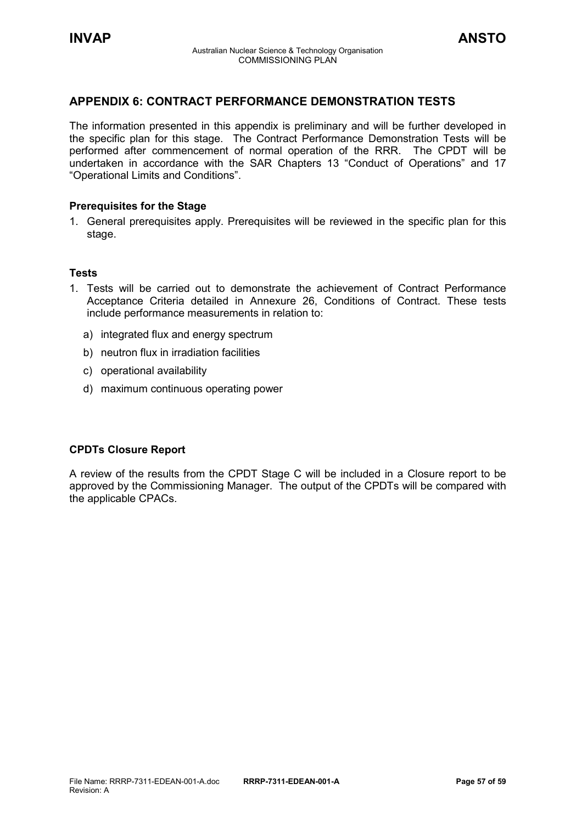### <span id="page-56-0"></span>**APPENDIX 6: CONTRACT PERFORMANCE DEMONSTRATION TESTS**

The information presented in this appendix is preliminary and will be further developed in the specific plan for this stage. The Contract Performance Demonstration Tests will be performed after commencement of normal operation of the RRR. The CPDT will be undertaken in accordance with the SAR Chapters 13 "Conduct of Operations" and 17 "Operational Limits and Conditions".

### **Prerequisites for the Stage**

1. General prerequisites apply. Prerequisites will be reviewed in the specific plan for this stage.

### **Tests**

- 1. Tests will be carried out to demonstrate the achievement of Contract Performance Acceptance Criteria detailed in Annexure 26, Conditions of Contract. These tests include performance measurements in relation to:
	- a) integrated flux and energy spectrum
	- b) neutron flux in irradiation facilities
	- c) operational availability
	- d) maximum continuous operating power

### **CPDTs Closure Report**

A review of the results from the CPDT Stage C will be included in a Closure report to be approved by the Commissioning Manager. The output of the CPDTs will be compared with the applicable CPACs.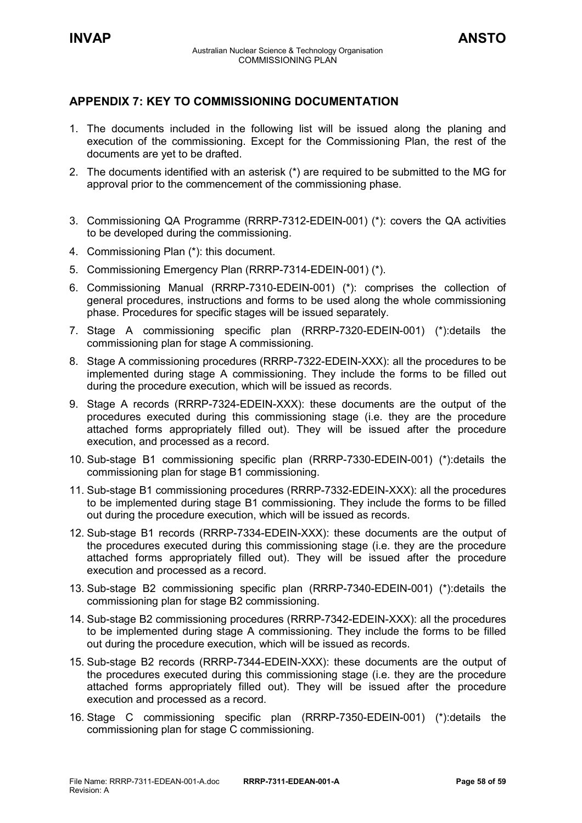### <span id="page-57-0"></span>**APPENDIX 7: KEY TO COMMISSIONING DOCUMENTATION**

- 1. The documents included in the following list will be issued along the planing and execution of the commissioning. Except for the Commissioning Plan, the rest of the documents are yet to be drafted.
- 2. The documents identified with an asterisk (\*) are required to be submitted to the MG for approval prior to the commencement of the commissioning phase.
- 3. Commissioning QA Programme (RRRP-7312-EDEIN-001) (\*): covers the QA activities to be developed during the commissioning.
- 4. Commissioning Plan (\*): this document.
- 5. Commissioning Emergency Plan (RRRP-7314-EDEIN-001) (\*).
- 6. Commissioning Manual (RRRP-7310-EDEIN-001) (\*): comprises the collection of general procedures, instructions and forms to be used along the whole commissioning phase. Procedures for specific stages will be issued separately.
- 7. Stage A commissioning specific plan (RRRP-7320-EDEIN-001) (\*):details the commissioning plan for stage A commissioning.
- 8. Stage A commissioning procedures (RRRP-7322-EDEIN-XXX): all the procedures to be implemented during stage A commissioning. They include the forms to be filled out during the procedure execution, which will be issued as records.
- 9. Stage A records (RRRP-7324-EDEIN-XXX): these documents are the output of the procedures executed during this commissioning stage (i.e. they are the procedure attached forms appropriately filled out). They will be issued after the procedure execution, and processed as a record.
- 10. Sub-stage B1 commissioning specific plan (RRRP-7330-EDEIN-001) (\*):details the commissioning plan for stage B1 commissioning.
- 11. Sub-stage B1 commissioning procedures (RRRP-7332-EDEIN-XXX): all the procedures to be implemented during stage B1 commissioning. They include the forms to be filled out during the procedure execution, which will be issued as records.
- 12. Sub-stage B1 records (RRRP-7334-EDEIN-XXX): these documents are the output of the procedures executed during this commissioning stage (i.e. they are the procedure attached forms appropriately filled out). They will be issued after the procedure execution and processed as a record.
- 13. Sub-stage B2 commissioning specific plan (RRRP-7340-EDEIN-001) (\*):details the commissioning plan for stage B2 commissioning.
- 14. Sub-stage B2 commissioning procedures (RRRP-7342-EDEIN-XXX): all the procedures to be implemented during stage A commissioning. They include the forms to be filled out during the procedure execution, which will be issued as records.
- 15. Sub-stage B2 records (RRRP-7344-EDEIN-XXX): these documents are the output of the procedures executed during this commissioning stage (i.e. they are the procedure attached forms appropriately filled out). They will be issued after the procedure execution and processed as a record.
- 16. Stage C commissioning specific plan (RRRP-7350-EDEIN-001) (\*):details the commissioning plan for stage C commissioning.